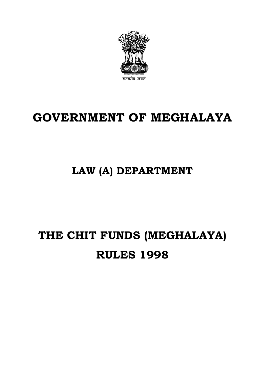

# **GOVERNMENT OF MEGHALAYA**

## **LAW (A) DEPARTMENT**

# **THE CHIT FUNDS (MEGHALAYA) RULES 1998**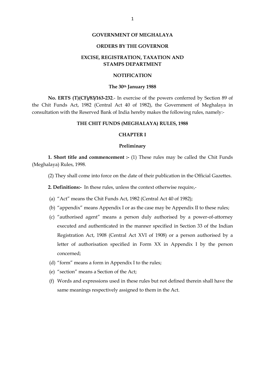#### **GOVERNMENT OF MEGHALAYA**

#### **ORDERS BY THE GOVERNOR**

#### **EXCISE, REGISTRATION, TAXATION AND STAMPS DEPARTMENT**

#### **NOTIFICATION**

#### **The 30th January 1988**

**No. ERTS (T)(CF)/83/163-232**.- In exercise of the powers conferred by Section 89 of the Chit Funds Act, 1982 (Central Act 40 of 1982), the Government of Meghalaya in consultation with the Reserved Bank of India hereby makes the following rules, namely:-

#### **THE CHIT FUNDS (MEGHALAYA) RULES, 1988**

#### **CHAPTER I**

#### **Preliminary**

**1. Short title and commencement :-** (1) These rules may be called the Chit Funds (Meghalaya) Rules, 1998.

(2) They shall come into force on the date of their publication in the Official Gazettes.

**2. Definitions:-** In these rules, unless the context otherwise require,-

(a) "Act" means the Chit Funds Act, 1982 (Central Act 40 of 1982);

- (b) "appendix" means Appendix I or as the case may be Appendix II to these rules;
- (c) "authorised agent" means a person duly authorised by a power-of-attorney executed and authenticated in the manner specified in Section 33 of the Indian Registration Act, 1908 (Central Act XVI of 1908) or a person authorised by a letter of authorisation specified in Form XX in Appendix I by the person concerned;
- (d) "form" means a form in Appendix I to the rules;
- (e) "section" means a Section of the Act;
- (f) Words and expressions used in these rules but not defined therein shall have the same meanings respectively assigned to them in the Act.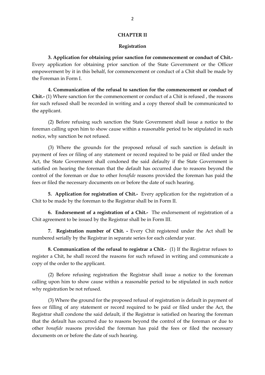#### **CHAPTER II**

#### **Registration**

**3. Application for obtaining prior sanction for commencement or conduct of Chit.-** Every application for obtaining prior sanction of the State Government or the Officer empowerment by it in this behalf, for commencement or conduct of a Chit shall be made by the Foreman in Form I.

**4. Communication of the refusal to sanction for the commencement or conduct of Chit.-** (1) Where sanction for the commencement or conduct of a Chit is refused , the reasons for such refused shall be recorded in writing and a copy thereof shall be communicated to the applicant.

(2) Before refusing such sanction the State Government shall issue a notice to the foreman calling upon him to show cause within a reasonable period to be stipulated in such notice, why sanction be not refused.

(3) Where the grounds for the proposed refusal of such sanction is default in payment of fees or filing of any statement or record required to be paid or filed under the Act, the State Government shall condoned the said defaulty if the State Government is satisfied on hearing the foreman that the default has occurred due to reasons beyond the control of the foreman or due to other *bonafide* reasons provided the foreman has paid the fees or filed the necessary documents on or before the date of such hearing.

**5. Application for registration of Chit.-** Every application for the registration of a Chit to be made by the foreman to the Registrar shall be in Form II.

**6. Endorsement of a registration of a Chit.-** The endorsement of registration of a Chit agreement to be issued by the Registrar shall be in Form III.

**7. Registration number of Chit. -** Every Chit registered under the Act shall be numbered serially by the Registrar in separate series for each calendar year.

**8. Communication of the refusal to registrar a Chit.-** (1) If the Registrar refuses to register a Chit, he shall record the reasons for such refused in writing and communicate a copy of the order to the applicant.

(2) Before refusing registration the Registrar shall issue a notice to the foreman calling upon him to show cause within a reasonable period to be stipulated in such notice why registration be not refused.

(3) Where the ground for the proposed refusal of registration is default in payment of fees or filling of any statement or record required to be paid or filed under the Act, the Registrar shall condone the said default, if the Registrar is satisfied on hearing the foreman that the default has occurred due to reasons beyond the control of the foreman or due to other *bonafide* reasons provided the foreman has paid the fees or filed the necessary documents on or before the date of such hearing.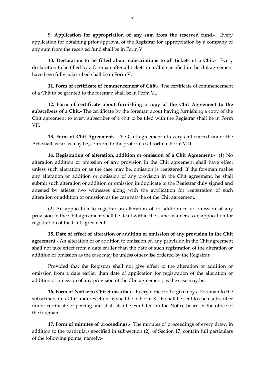**9. Application for appropriation of any sum from the reserved fund.-** Every application for obtaining prior approval of the Registrar for appropriation by a company of any sum from the received fund shall be in Form V.

**10. Declaration to be filled about subscriptions to all tickets of a Chit.-** Every declaration to be filled by a foreman after all tickets in a Chit specified in the chit agreement have been fully subscribed shall be in Form V.

**11. Form of certificate of commencement of Chit.-** The certificate of commencement of a Chit to be granted to the foreman shall be in Form VI.

**12. Form of certificate about furnishing a copy of the Chit Agreement to the subscribers of a Chit.-** The certificate by the foreman about having furnishing a copy of the Chit agreement to every subscriber of a chit to be filed with the Registrar shall be in Form VII.

**13. Form of Chit Agreement.-** The Chit agreement of every chit started under the Act, shall as far as may be, conform to the proforma set forth in Form VIII.

**14. Registration of alteration, addition or omission of a Chit Agreement.-** (1) No alteration addition or omission of any provision in the Chit agreement shall have effect unless such alteration or as the case may be, omission is registered. If the foreman makes any alteration or addition or omission of any provision in the Chit agreement, he shall submit such alteration or addition or omission in duplicate to the Registrar duly signed and attested by atleast two witnesses along with the application for registration of such alteration or addition or omission as the case may be of the Chit agreement.

(2) An application to registrar an alteration of or addition to or omission of any provision in the Chit agreement shall be dealt within the same manner as an application for registration of the Chit agreement.

**15. Date of effect of alteration or addition or omission of any provision in the Chit agreement.-** An alteration of or addition to omission of, any provision in the Chit agreement shall not take effect from a date earlier than the date of such registration of the alteration or addition or omission as the case may be unless otherwise ordered by the Registrar:

Provided that the Registrar shall not give effect to the alteration or addition or omission from a date earlier than date of application for registration of the alteration or addition or omission of any provision of the Chit agreement, as the case may be.

**16. Form of Notice to Chit Subscriber.-** Every notice to be given by a Foreman to the subscribers in a Chit under Section 16 shall be in Form XI. It shall be sent to each subscriber under certificate of posting and shall also be exhibited on the Notice board of the office of the foreman.

**17. Form of minutes of proceedings.-** The minutes of proceedings of every draw, in addition to the particulars specified in sub-section (2), of Section 17, contain full particulars of the following points, namely:-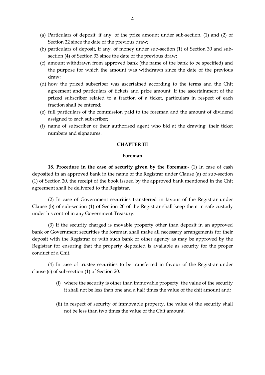- (a) Particulars of deposit, if any, of the prize amount under sub-section, (1) and (2) of Section 22 since the date of the previous draw;
- (b) particulars of deposit, if any, of money under sub-section (1) of Section 30 and subsection (4) of Section 33 since the date of the previous draw;
- (c) amount withdrawn from approved bank (the name of the bank to be specified) and the purpose for which the amount was withdrawn since the date of the previous draw;
- (d) how the prized subscriber was ascertained according to the terms and the Chit agreement and particulars of tickets and prize amount. If the ascertainment of the prized subscriber related to a fraction of a ticket, particulars in respect of each fraction shall be entered;
- (e) full particulars of the commission paid to the foreman and the amount of dividend assigned to each subscriber;
- (f) name of subscriber or their authorised agent who bid at the drawing, their ticket numbers and signatures.

#### **CHAPTER III**

#### **Foreman**

**18. Procedure in the case of security given by the Foreman:-** (1) In case of cash deposited in an approved bank in the name of the Registrar under Clause (a) of sub-section (1) of Section 20, the receipt of the book issued by the approved bank mentioned in the Chit agreement shall be delivered to the Registrar.

(2) In case of Government securities transferred in favour of the Registrar under Clause (b) of sub-section (1) of Section 20 of the Registrar shall keep them in safe custody under his control in any Government Treasury.

(3) If the security charged is movable property other than deposit in an approved bank or Government securities the foreman shall make all necessary arrangements for their deposit with the Registrar or with such bank or other agency as may be approved by the Registrar for ensuring that the property deposited is available as security for the proper conduct of a Chit.

(4) In case of trustee securities to be transferred in favour of the Registrar under clause (c) of sub-section (1) of Section 20.

- (i) where the security is other than immovable property, the value of the security it shall not be less than one and a half times the value of the chit amount and;
- (ii) in respect of security of immovable property, the value of the security shall not be less than two times the value of the Chit amount.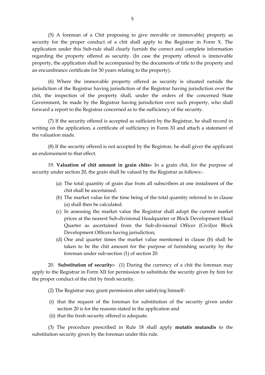(5) A foreman of a Chit proposing to give movable or immovable) property as security for the proper conduct of a chit shall apply to the Registrar in Form X. The application under this Sub-rule shall clearly furnish the correct and complete information regarding the property offered as security. (In case the property offered is immovable property, the application shall be accompanied by the documents of title to the property and an encumbrance certificate for 30 years relating to the property).

(6) Where the immovable property offered as security is situated outside the jurisdiction of the Registrar having jurisdiction of the Registrar having jurisdiction over the chit, the inspection of the property shall, under the orders of the concerned State Government, be made by the Registrar having jurisdiction over such property, who shall forward a report to the Registrar concerned as to the sufficiency of the security.

(7) If the security offered is accepted as sufficient by the Registrar, he shall record in writing on the application, a certificate of sufficiency in Form XI and attach a statement of the valuation made.

(8) If the security offered is not accepted by the Registrar, he shall giver the applicant an endorsement to that effect.

19. **Valuation of chit amount in grain chits:-** In a grain chit, for the purpose of security under section 20, the grain shall be valued by the Registrar as follows:-

- (a) The total quantity of grain due from all subscribers at one instalment of the chit shall be ascertained.
- (b) The market value for the time being of the total quantity referred to in clause (a) shall then be calculated.
- (c) In assessing the market value the Registrar shall adopt the current market prices at the nearest Sub-divisional Headquarter or Block Development Head Quarter as ascertained from the Sub-divisional Officer (Civil)or Block Development Officers having jurisdiction;
- (d) One and quarter times the market value mentioned in clause (b) shall be taken to be the chit amount for the purpose of furnishing security by the foreman under sub-section (1) of section 20.

20. **Substitution of security:-** (1) During the currency of a chit the foreman may apply to the Registrar in Form XII for permission to substitute the security given by him for the proper conduct of the chit by fresh security.

(2) The Registrar may grant permission after satisfying himself-

- (i) that the request of the foreman for substitution of the security given under section 20 is for the reasons stated in the application and
- (ii) that the fresh security offered is adequate.

(3) The procedure prescribed in Rule 18 shall apply **mutatis mutandis** to the substitution security given by the foreman under this rule.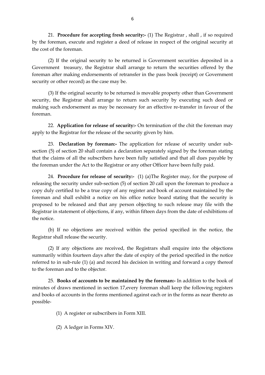21. **Procedure for accepting fresh security:-** (1) The Registrar , shall , if so required by the foreman, execute and register a deed of release in respect of the original security at the cost of the foreman.

(2) If the original security to be returned is Government securities deposited in a Government treasury, the Registrar shall arrange to return the securities offered by the foreman after making endorsements of retransfer in the pass book (receipt) or Government security or other record) as the case may be.

(3) If the original security to be returned is movable property other than Government security, the Registrar shall arrange to return such security by executing such deed or making such endorsement as may be necessary for an effective re-transfer in favour of the foreman.

22. **Application for release of security:-** On termination of the chit the foreman may apply to the Registrar for the release of the security given by him.

23. **Declaration by foreman:-** The application for release of security under subsection (5) of section 20 shall contain a declaration separately signed by the foreman stating that the claims of all the subscribers have been fully satisfied and that all dues payable by the foreman under the Act to the Registrar or any other Officer have been fully paid.

24. **Procedure for release of security:-** (1) (a)The Register may, for the purpose of releasing the security under sub-section (5) of section 20 call upon the foreman to produce a copy duly certified to be a true copy of any register and book of account maintained by the foreman and shall exhibit a notice on his office notice board stating that the security is proposed to be released and that any person objecting to such release may file with the Registrar in statement of objections, if any, within fifteen days from the date of exhibitions of the notice.

(b) If no objections are received within the period specified in the notice, the Registrar shall release the security.

(2) If any objections are received, the Registrars shall enquire into the objections summarily within fourteen days after the date of expiry of the period specified in the notice referred to in sub-rule (1) (a) and record his decision in writing and forward a copy thereof to the foreman and to the objector.

25. **Books of accounts to be maintained by the foreman:-** In addition to the book of minutes of draws mentioned in section 17,every foreman shall keep the following registers and books of accounts in the forms mentioned against each or in the forms as near thereto as possible-

(1) A register or subscribers in Form XIII.

(2) A ledger in Forms XIV.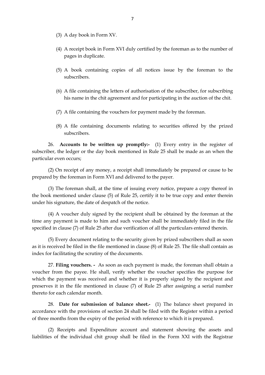- (3) A day book in Form XV.
- (4) A receipt book in Form XVI duly certified by the foreman as to the number of pages in duplicate.
- (5) A book containing copies of all notices issue by the foreman to the subscribers.
- (6) A file containing the letters of authorisation of the subscriber, for subscribing his name in the chit agreement and for participating in the auction of the chit.
- (7) A file containing the vouchers for payment made by the foreman.
- (8) A file containing documents relating to securities offered by the prized subscribers.

26. **Accounts to be written up promptly:-** (1) Every entry in the register of subscriber, the ledger or the day book mentioned in Rule 25 shall be made as an when the particular even occurs;

(2) On receipt of any money, a receipt shall immediately be prepared or cause to be prepared by the foreman in Form XVI and delivered to the payer.

(3) The foreman shall, at the time of issuing every notice, prepare a copy thereof in the book mentioned under clause (5) of Rule 25, certify it to be true copy and enter therein under his signature, the date of despatch of the notice.

(4) A voucher duly signed by the recipient shall be obtained by the foreman at the time any payment is made to him and such voucher shall be immediately filed in the file specified in clause (7) of Rule 25 after due verification of all the particulars entered therein.

(5) Every document relating to the security given by prized subscribers shall as soon as it is received be filed in the file mentioned in clause (8) of Rule 25. The file shall contain as index for facilitating the scrutiny of the documents.

27. **Filing vouchers. -** As soon as each payment is made, the foreman shall obtain a voucher from the payee. He shall, verify whether the voucher specifies the purpose for which the payment was received and whether it is properly signed by the recipient and preserves it in the file mentioned in clause (7) of Rule 25 after assigning a serial number thereto for each calendar month.

28. **Date for submission of balance sheet.-** (1) The balance sheet prepared in accordance with the provisions of section 24 shall be filed with the Register within a period of three months from the expiry of the period with reference to which it is prepared.

(2) Receipts and Expenditure account and statement showing the assets and liabilities of the individual chit group shall be filed in the Form XXI with the Registrar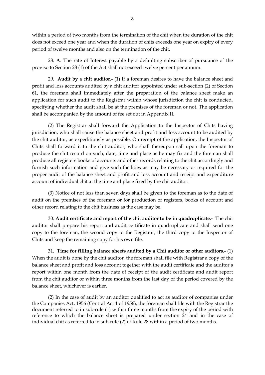within a period of two months from the termination of the chit when the duration of the chit does not exceed one year and when the duration of chits exceeds one year on expiry of every period of twelve months and also on the termination of the chit.

28. **A**. The rate of Interest payable by a defaulting subscriber of pursuance of the proviso to Section 28 (1) of the Act shall not exceed twelve percent per annum.

29. **Audit by a chit auditor.-** (1) If a foreman desires to have the balance sheet and profit and loss accounts audited by a chit auditor appointed under sub-section (2) of Section 61, the foreman shall immediately after the preparation of the balance sheet make an application for such audit to the Registrar within whose jurisdiction the chit is conducted, specifying whether the audit shall be at the premises of the foreman or not. The application shall be accompanied by the amount of fee set out in Appendix II.

(2) The Registrar shall forward the Application to the Inspector of Chits having jurisdiction, who shall cause the balance sheet and profit and loss account to be audited by the chit auditor, as expeditiously as possible. On receipt of the application, the Inspector of Chits shall forward it to the chit auditor, who shall thereupon call upon the foreman to produce the chit record on such, date, time and place as he may fix and the foreman shall produce all registers books of accounts and other records relating to the chit accordingly and furnish such information and give such facilities as may be necessary or required for the proper audit of the balance sheet and profit and loss account and receipt and expenditure account of individual chit at the time and place fixed by the chit auditor.

(3) Notice of not less than seven days shall be given to the foreman as to the date of audit on the premises of the foreman or for production of registers, books of account and other record relating to the chit business as the case may be.

30. **Audit certificate and report of the chit auditor to be in quadruplicate.-** The chit auditor shall prepare his report and audit certificate in quadruplicate and shall send one copy to the foreman, the second copy to the Registrar, the third copy to the Inspector of Chits and keep the remaining copy for his own file.

31. **Time for filling balance sheets audited by a Chit auditor or other auditors.-** (1) When the audit is done by the chit auditor, the foreman shall file with Registrar a copy of the balance sheet and profit and loss account together with the audit certificate and the auditor's report within one month from the date of receipt of the audit certificate and audit report from the chit auditor or within three months from the last day of the period covered by the balance sheet, whichever is earlier.

(2) In the case of audit by an auditor qualified to act as auditor of companies under the Companies Act, 1956 (Central Act 1 of 1956), the foreman shall file with the Registrar the document referred to in sub-rule (1) within three months from the expiry of the period with reference to which the balance sheet is prepared under section 24 and in the case of individual chit as referred to in sub-rule (2) of Rule 28 within a period of two months.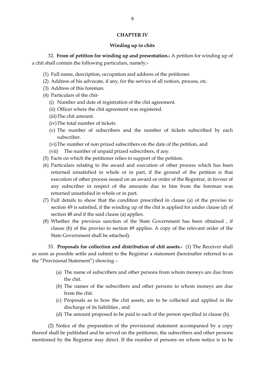#### **CHAPTER IV**

#### **Winding up in chits**

32. **From of petition for winding up and presentation.-** A petition for winding up of a chit shall contain the following particulars, namely:-

- (1) Full name, description, occupation and address of the petitioner.
- (2) Address of his advocate, if any, for the service of all notices, process, etc.
- (3) Address of this foreman.
- (4) Particulars of the chit-
	- (i) Number and date of registration of the chit agreement.
	- (ii) Officer where the chit agreement was registered.
	- (iii)The chit amount.
	- (iv)The total number of tickets.
	- (v) The number of subscribers and the number of tickets subscribed by each subscriber.
	- (vi)The number of non prized subscribers on the date of the petition, and
	- (vii) The number of unpaid prized subscribers, if any.
- (5) Facts on which the petitioner relies in support of the petition.
- (6) Particulars relating to the award and execution of other process which has been returned unsatisfied in whole or in part, if the ground of the petition is that execution of other process issued on an award or order of the Registrar, in favour of any subscriber in respect of the amounts due to him from the foreman was returned unsatisfied in whole or in part.
- (7) Full details to show that the condition prescribed in clause (a) of the proviso to section 49 is satisfied, if the winding up of the chit is applied for under clause (d) of section 48 and if the said clause (a) applies.
- (8) Whether the previous sanction of the State Government has been obtained , if clause (b) of the proviso to section 49 applies. A copy of the relevant order of the State Government shall be attached).

33. **Proposals for collection and distribution of chit assets.-** (1) The Receiver shall as soon as possible settle and submit to the Registrar a statement (hereinafter referred to as the "Provisional Statement") showing –

- (a) The name of subscribers and other persons from whom moneys are due from the chit.
- (b) The names of the subscribers and other persons to whom moneys are due from the chit.
- (c) Proposals as to how the chit assets, are to be collected and applied in the discharge of its liabilities , and
- (d) The amount proposed to be paid to each of the person specified in clause (b).

(2) Notice of the preparation of the provisional statement accompanied by a copy thereof shall be published and be served on the petitioner, the subscribers and other persons mentioned by the Registrar may direct. If the number of persons on whom notice is to be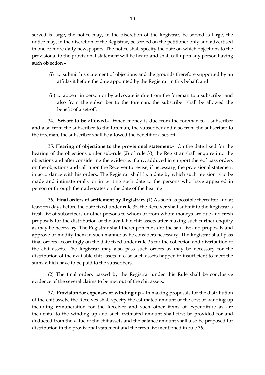served is large, the notice may, in the discretion of the Registrar, be served is large, the notice may, in the discretion of the Registrar, be served on the petitioner only and advertised in one or more daily newspapers. The notice shall specify the date on which objections to the provisional to the provisional statement will be heard and shall call upon any person having such objection –

- (i) to submit his statement of objections and the grounds therefore supported by an affidavit before the date appointed by the Registrar in this behalf; and
- (ii) to appear in person or by advocate is due from the foreman to a subscriber and also from the subscriber to the foreman, the subscriber shall be allowed the benefit of a set-off.

34. **Set-off to be allowed.-** When money is due from the foreman to a subscriber and also from the subscriber to the foreman, the subscriber and also from the subscriber to the foreman, the subscriber shall be allowed the benefit of a set-off.

35. **Hearing of objections to the provisional statement.-** On the date fixed for the hearing of the objections under sub-rule (2) of rule 33, the Registrar shall enquire into the objections and after considering the evidence, if any, adduced in support thereof pass orders on the objections and call upon the Receiver to revise, if necessary, the provisional statement in accordance with his orders. The Registrar shall fix a date by which such revision is to be made and intimate orally or in writing such date to the persons who have appeared in person or through their advocates on the date of the hearing.

36. **Final orders of settlement by Registrar:-** (1) As soon as possible thereafter and at least ten days before the date fixed under rule 35, the Receiver shall submit to the Registrar a fresh list of subscribers or other persons to whom or from whom moneys are due and fresh proposals for the distribution of the available chit assets after making such further enquiry as may be necessary. The Registrar shall thereupon consider the said list and proposals and approve or modify them in such manner as he considers necessary. The Registrar shall pass final orders accordingly on the date fixed under rule 35 for the collection and distribution of the chit assets. The Registrar may also pass such orders as may be necessary for the distribution of the available chit assets in case such assets happen to insufficient to meet the sums which have to be paid to the subscribers.

(2) The final orders passed by the Registrar under this Rule shall be conclusive evidence of the several claims to be met out of the chit assets.

37. **Provision for expenses of winding up –** In making proposals for the distribution of the chit assets, the Receives shall specify the estimated amount of the cost of winding up including remuneration for the Receiver and such other items of expenditure as are incidental to the winding up and such estimated amount shall first be provided for and deducted from the value of the chit assets and the balance amount shall also be proposed for distribution in the provisional statement and the fresh list mentioned in rule 36.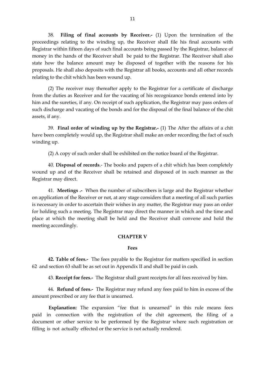38. **Filing of final accounts by Receiver.-** (1) Upon the termination of the proceedings relating to the winding up, the Receiver shall file his final accounts with Registrar within fifteen days of such final accounts being passed by the Registrar, balance of money in the hands of the Receiver shall be paid to the Registrar. The Receiver shall also state how the balance amount may be disposed of together with the reasons for his proposals. He shall also deposits with the Registrar all books, accounts and all other records relating to the chit which has been wound up.

(2) The receiver may thereafter apply to the Registrar for a certificate of discharge from the duties as Receiver and for the vacating of his recognizance bonds entered into by him and the sureties, if any. On receipt of such application, the Registrar may pass orders of such discharge and vacating of the bonds and for the disposal of the final balance of the chit assets, if any.

39. **Final order of winding up by the Registrar.-** (1) The After the affairs of a chit have been completely would up, the Registrar shall make an order recording the fact of such winding up.

(2) A copy of such order shall be exhibited on the notice board of the Registrar.

40. **Disposal of records**.- The books and papers of a chit which has been completely wound up and of the Receiver shall be retained and disposed of in such manner as the Registrar may direct.

41. **Meetings .-** When the number of subscribers is large and the Registrar whether on application of the Receiver or not, at any stage considers that a meeting of all such parties is necessary in order to ascertain their wishes in any matter, the Registrar may pass an order for holding such a meeting. The Registrar may direct the manner in which and the time and place at which the meeting shall be held and the Receiver shall convene and hold the meeting accordingly.

#### **CHAPTER V**

#### **Fees**

**42. Table of fees.-** The fees payable to the Registrar for matters specified in section 62 and section 63 shall be as set out in Appendix II and shall be paid in cash.

43. **Receipt for fees.-** The Registrar shall grant receipts for all fees received by him.

44. **Refund of fees.-** The Registrar may refund any fees paid to him in excess of the amount prescribed or any fee that is unearned.

**Explanation:** The expansion "fee that is unearned" in this rule means fees paid in connection with the registration of the chit agreement, the filing of a document or other service to be performed by the Registrar where such registration or filling is not actually effected or the service is not actually rendered.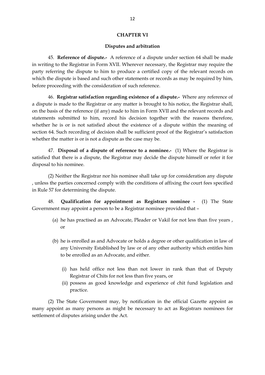#### **CHAPTER VI**

#### **Disputes and arbitration**

45. **Reference of dispute.-** A reference of a dispute under section 64 shall be made in writing to the Registrar in Form XVII. Wherever necessary, the Registrar may require the party referring the dispute to him to produce a certified copy of the relevant records on which the dispute is based and such other statements or records as may be required by him, before proceeding with the consideration of such reference.

46. **Registrar satisfaction regarding existence of a dispute.-** Where any reference of a dispute is made to the Registrar or any matter is brought to his notice, the Registrar shall, on the basis of the reference (if any) made to him in Form XVII and the relevant records and statements submitted to him, record his decision together with the reasons therefore, whether he is or is not satisfied about the existence of a dispute within the meaning of section 64. Such recording of decision shall be sufficient proof of the Registrar's satisfaction whether the matter is or is not a dispute as the case may be.

47. **Disposal of a dispute of reference to a nominee.-** (1) Where the Registrar is satisfied that there is a dispute, the Registrar may decide the dispute himself or refer it for disposal to his nominee.

(2) Neither the Registrar nor his nominee shall take up for consideration any dispute , unless the parties concerned comply with the conditions of affixing the court fees specified in Rule 57 for determining the dispute.

48. **Qualification for appointment as Registrars nominee -** (1) The State Government may appoint a person to be a Registrar nominee provided that –

- (a) he has practised as an Advocate, Pleader or Vakil for not less than five years , or
- (b) he is enrolled as and Advocate or holds a degree or other qualification in law of any University Established by law or of any other authority which entitles him to be enrolled as an Advocate, and either.
	- (i) has held office not less than not lower in rank than that of Deputy Registrar of Chits for not less than five years, or
	- (ii) possess as good knowledge and experience of chit fund legislation and practice.

(2) The State Government may, by notification in the official Gazette appoint as many appoint as many persons as might be necessary to act as Registrars nominees for settlement of disputes arising under the Act.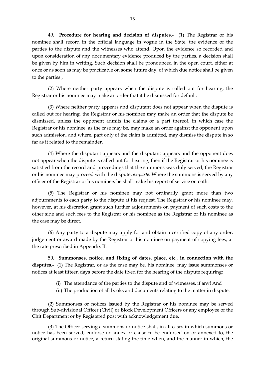49. **Procedure for hearing and decision of disputes.-** (1) The Registrar or his nominee shall record in the official language in vogue in the State, the evidence of the parties to the dispute and the witnesses who attend. Upon the evidence so recorded and upon consideration of any documentary evidence produced by the parties, a decision shall be given by him in writing. Such decision shall be pronounced in the open court, either at once or as soon as may be practicable on some future day, of which due notice shall be given to the parties.,

(2) Where neither party appears when the dispute is called out for hearing, the Registrar or his nominee may make an order that it he dismissed for default.

(3) Where neither party appears and disputant does not appear when the dispute is called out for hearing, the Registrar or his nominee may make an order that the dispute be dismissed, unless the opponent admits the claims or a part thereof, in which case the Registrar or his nominee, as the case may be, may make an order against the opponent upon such admission, and where, part only of the claim is admitted, may dismiss the dispute in so far as it related to the remainder.

(4) Where the disputant appears and the disputant appears and the opponent does not appear when the dispute is called out for hearing, then if the Registrar or his nominee is satisfied from the record and proceedings that the summons was duly served, the Registrar or his nominee may proceed with the dispute, *ex-parte*. Where the summons is served by any officer of the Registrar or his nominee, he shall make his report of service on oath.

(5) The Registrar or his nominee may not ordinarily grant more than two adjournments to each party to the dispute at his request. The Registrar or his nominee may, however, at his discretion grant such further adjournments on payment of such costs to the other side and such fees to the Registrar or his nominee as the Registrar or his nominee as the case may be direct.

(6) Any party to a dispute may apply for and obtain a certified copy of any order, judgement or award made by the Registrar or his nominee on payment of copying fees, at the rate prescribed in Appendix II.

50. **Summonses, notice, and fixing of dates, place, etc., in connection with the disputes.-** (1) The Registrar, or as the case may be, his nominee, may issue summonses or notices at least fifteen days before the date fixed for the hearing of the dispute requiring:

- (i) The attendance of the parties to the dispute and of witnesses, if any! And
- (ii) The production of all books and documents relating to the matter in dispute.

(2) Summonses or notices issued by the Registrar or his nominee may be served through Sub-divisional Officer (Civil) or Block Development Officers or any employee of the Chit Department or by Registered post with acknowledgement due.

(3) The Officer serving a summons or notice shall, in all cases in which summons or notice has been served, endorse or annex or cause to be endorsed on or annexed to, the original summons or notice, a return stating the time when, and the manner in which, the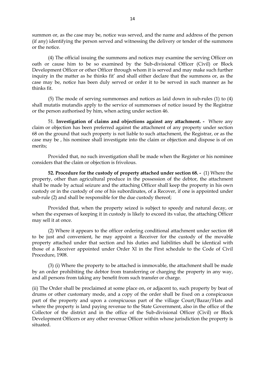summon or, as the case may be, notice was served, and the name and address of the person (if any) identifying the person served and witnessing the delivery or tender of the summons or the notice.

(4) The official issuing the summons and notices may examine the serving Officer on oath or cause him to be so examined by the Sub-divisional Officer (Civil) or Block Development Officer or other Officer through whom it is served and may make such further inquiry in the matter as he thinks fit' and shall either declare that the summons or, as the case may be, notice has been duly served or order it to be served in such manner as he thinks fit.

(5) The mode of serving summonses and notices as laid down in sub-rules (1) to (4) shall mutatis mutandis apply to the service of summonses of notice issued by the Registrar or the person authorised by him, when acting under section 46.

51. **Investigation of claims and objections against any attachment. -** Where any claim or objection has been preferred against the attachment of any property under section 68 on the ground that such property is not liable to such attachment, the Registrar, or as the case may be , his nominee shall investigate into the claim or objection and dispose is of on merits;

Provided that, no such investigation shall be made when the Register or his nominee considers that the claim or objection is frivolous.

**52. Procedure for the custody of property attached under section 68. -** (1) Where the property, other than agricultural produce in the possession of the debtor, the attachment shall be made by actual seizure and the attaching Officer shall keep the property in his own custody or in the custody of one of his subordinates, of a Recover, if one is appointed under sub-rule (2) and shall be responsible for the due custody thereof;

Provided that, when the property seized is subject to speedy and natural decay, or when the expenses of keeping it in custody is likely to exceed its value, the attaching Officer may sell it at once.

(2) Where it appears to the officer ordering conditional attachment under section 68 to be just and convenient, he may appoint a Receiver for the custody of the movable property attached under that section and his duties and liabilities shall be identical with those of a Receiver appointed under Order XI in the First schedule to the Code of Civil Procedure, 1908.

(3) (i) Where the property to be attached is immovable, the attachment shall be made by an order prohibiting the debtor from transferring or charging the property in any way, and all persons from taking any benefit from such transfer or charge.

(ii) The Order shall be proclaimed at some place on, or adjacent to, such property by beat of drums or other customary mode, and a copy of the order shall be fixed on a conspicuous part of the property and upon a conspicuous part of the village Court/Bazar/Hats and where the property is land paying revenue to the State Government, also in the office of the Collector of the district and in the office of the Sub-divisional Officer (Civil) or Block Development Officers or any other revenue Officer within whose jurisdiction the property is situated.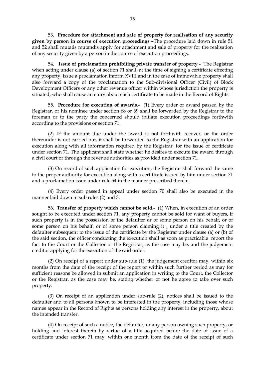53. **Procedure for attachment and sale of property for realisation of any security given by person in course of execution proceedings –**The procedure laid down in rule 51 and 52 shall mutatis mutandis apply for attachment and sale of property for the realisation of any security given by a person in the course of execution proceedings.

54. **Issue of proclamation prohibiting private transfer of property -** The Registrar when acting under clause (a) of section 71 shall, at the time of signing a certificate effecting any property, issue a proclamation inform XVIII and in the case of immovable property shall also forward a copy of the proclamation to the Sub-divisional Officer (Civil) of Block Development Officers or any other revenue officer within whose jurisdiction the property is situated, who shall cause an entry about such certificate to be made in the Record of Rights.

55. **Procedure for execution of awards.-** (1) Every order or award passed by the Registrar, or his nominee under section 68 or 69 shall be forwarded by the Registrar to the foreman or to the party the concerned should initiate execution proceedings forthwith according to the provisions or section 71.

(2) IF the amount due under the award is not forthwith recover, or the order thereunder is not carried out, it shall be forwarded to the Registrar with an application for execution along with all information required by the Registrar, for the issue of certificate under section 71. The applicant shall state whether he desires to execute the award through a civil court or through the revenue authorities as provided under section 71.

(3) On record of such application for execution, the Registrar shall forward the same to the proper authority for execution along with a certificate issued by him under section 71 and a proclamation issue under rule 54 in the manner prescribed therein.

(4) Every order passed in appeal under section 70 shall also be executed in the manner laid down in sub rules (2) and 3.

56. **Transfer of property which cannot be sold.-** (1) When, in execution of an order sought to be executed under section 71, any property cannot be sold for want of buyers, if such property is in the possession of the defaulter or of some person on his behalf, or of some person on his behalf, or of some person claiming it , under a title created by the defaulter subsequent to the issue of the certificate by the Registrar under clause (a) or (b) of the said section, the officer conducting the execution shall as soon as practicable report the fact to the Court or the Collector or the Registrar, as the case may be, and the judgement creditor applying for the execution of the said order.

(2) On receipt of a report under sub-rule (1), the judgement creditor may, within six months from the date of the receipt of the report or within such further period as may for sufficient reasons be allowed in submit an application in writing to the Court, the Collector or the Registrar, as the case may be, stating whether or not he agree to take over such property.

(3) On receipt of an application under sub-rule (2), notices shall be issued to the defaulter and to all persons known to be interested in the property, including those whose names appear in the Record of Rights as persons holding any interest in the property, about the intended transfer.

(4) On receipt of such a notice, the defaulter, or any person owning such property, or holding and interest therein by virtue of a title acquired before the date of issue of a certificate under section 71 may, within one month from the date of the receipt of such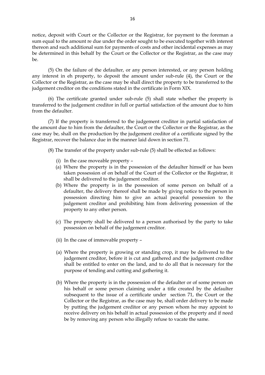notice, deposit with Court or the Collector or the Registrar, for payment to the foreman a sum equal to the amount re due under the order sought to be executed together with interest thereon and such additional sum for payments of costs and other incidental expenses as may be determined in this behalf by the Court or the Collector or the Registrar, as the case may be.

(5) On the failure of the defaulter, or any person interested, or any person holding any interest in eh property, to deposit the amount under sub-rule (4), the Court or the Collector or the Registrar, as the case may be shall direct the property to be transferred to the judgement creditor on the conditions stated in the certificate in Form XIX.

(6) The certificate granted under sub-rule (5) shall state whether the property is transferred to the judgement creditor in full or partial satisfaction of the amount due to him from the defaulter.

(7) If the property is transferred to the judgement creditor in partial satisfaction of the amount due to him from the defaulter, the Court or the Collector or the Registrar, as the case may be, shall on the production by the judgement creditor of a certificate signed by the Registrar, recover the balance due in the manner laid down in section 71.

(8) The transfer of the property under sub-rule (5) shall be effected as follows:

- (i) In the case moveable property –
- (a) Where the property is in the possession of the defaulter himself or has been taken possession of on behalf of the Court of the Collector or the Registrar, it shall be delivered to the judgement creditor.
- (b) Where the property is in the possession of some person on behalf of a defaulter, the delivery thereof shall be made by giving notice to the person in possession directing him to give an actual peaceful possession to the judgement creditor and prohibiting him from delivering possession of the property to any other person.
- (c) The property shall be delivered to a person authorised by the party to take possession on behalf of the judgement creditor.
- (ii) In the case of immovable property –
- (a) Where the property is growing or standing crop, it may be delivered to the judgement creditor, before it is cut and gathered and the judgement creditor shall be entitled to enter on the land, and to do all that is necessary for the purpose of tending and cutting and gathering it.
- (b) Where the property is in the possession of the defaulter or of some person on his behalf or some person claiming under a title created by the defaulter subsequent to the issue of a certificate under section 71, the Court or the Collector or the Registrar, as the case may be, shall order delivery to be made by putting the judgement creditor or any person whom he may appoint to receive delivery on his behalf in actual possession of the property and if need be by removing any person who illegally refuse to vacate the same.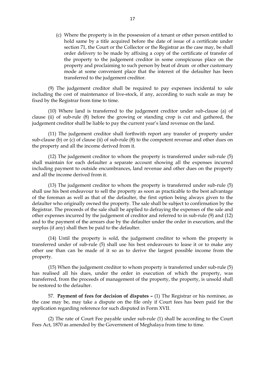(c) Where the property is in the possession of a tenant or other person entitled to hold same by a title acquired before the date of issue of a certificate under section 71, the Court or the Collector or the Registrar as the case may, be shall order delivery to be made by affixing a copy of the certificate of transfer of the property to the judgement creditor in some conspicuous place on the property and proclaiming to such person by beat of drum or other customary mode at some convenient place that the interest of the defaulter has been transferred to the judgement creditor.

(9) The judgement creditor shall be required to pay expenses incidental to sale including the cost of maintenance of live-stock, if any, according to such scale as may be fixed by the Registrar from time to time.

(10) Where land is transferred to the judgement creditor under sub-clause (a) of clause (ii) of sub-rule (8) before the growing or standing crop is cut and gathered, the judgement creditor shall be liable to pay the current year's land revenue on the land.

(11) The judgement creditor shall forthwith report any transfer of property under sub-clause (b) or (c) of clause (ii) of sub-rule (8) to the competent revenue and other dues on the property and all the income derived from it.

(12) The judgement creditor to whom the property is transferred under sub-rule (5) shall maintain for each defaulter a separate account showing all the expenses incurred including payment to outside encumbrances, land revenue and other dues on the property and all the income derived from it.

(13) The judgement creditor to whom the property is transferred under sub-rule (5) shall use his best endeavour to sell the property as soon as practicable to the best advantage of the foreman as well as that of the defaulter, the first option being always given to the defaulter who originally owned the property. The sale shall be subject to confirmation by the Registrar. The proceeds of the sale shall be applied to defraying the expenses of the sale and other expenses incurred by the judgement of creditor and referred to in sub-rule (9) and (12) and to the payment of the arrears due by the defaulter under the order in execution, and the surplus (if any) shall then be paid to the defaulter.

(14) Until the property is sold, the judgement creditor to whom the property is transferred under of sub-rule (5) shall use his best endeavours to lease it or to make any other use than can be made of it so as to derive the largest possible income from the property.

(15) When the judgement creditor to whom property is transferred under sub-rule (5) has realised all his dues, under the order in execution of which the property, was transferred, from the proceeds of management of the property, the property, is unsold shall be restored to the defaulter.

57. **Payment of fees for decision of disputes –** (1) The Registrar or his nominee, as the case may be, may take a dispute on the file only if Court fees has been paid for the application regarding reference for such disputed in Form XVII.

(2) The rate of Court Fee payable under sub-rule (1) shall be according to the Court Fees Act, 1870 as amended by the Government of Meghalaya from time to time.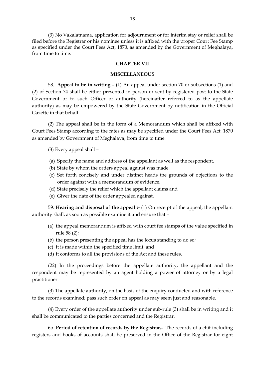(3) No Vakalatnama, application for adjournment or for interim stay or relief shall be filed before the Registrar or his nominee unless it is affixed with the proper Court Fee Stamp as specified under the Court Fees Act, 1870, as amended by the Government of Meghalaya, from time to time.

#### **CHAPTER VII**

#### **MISCELLANEOUS**

58. **Appeal to be in writing –** (1) An appeal under section 70 or subsections (1) and (2) of Section 74 shall be either presented in person or sent by registered post to the State Government or to such Officer or authority (hereinafter referred to as the appellate authority) as may be empowered by the State Government by notification in the Official Gazette in that behalf.

(2) The appeal shall be in the form of a Memorandum which shall be affixed with Court Fees Stamp according to the rates as may be specified under the Court Fees Act, 1870 as amended by Government of Meghalaya, from time to time.

(3) Every appeal shall –

- (a) Specify the name and address of the appellant as well as the respondent.
- (b) State by whom the orders appeal against was made.
- (c) Set forth concisely and under distinct heads the grounds of objections to the order against with a memorandum of evidence.
- (d) State precisely the relief which the appellant claims and
- (e) Giver the date of the order appealed against.

59. **Hearing and disposal of the appeal :-** (1) On receipt of the appeal, the appellant authority shall, as soon as possible examine it and ensure that –

- (a) the appeal memorandum is affixed with court fee stamps of the value specified in rule 58 (2);
- (b) the person presenting the appeal has the locus standing to do so;
- (c) it is made within the specified time limit; and
- (d) it conforms to all the provisions of the Act and these rules.

(22) In the proceedings before the appellate authority, the appellant and the respondent may be represented by an agent holding a power of attorney or by a legal practitioner.

(3) The appellate authority, on the basis of the enquiry conducted and with reference to the records examined; pass such order on appeal as may seem just and reasonable.

(4) Every order of the appellate authority under sub-rule (3) shall be in writing and it shall be communicated to the parties concerned and the Registrar.

6o. **Period of retention of records by the Registrar.-** The records of a chit including registers and books of accounts shall be preserved in the Office of the Registrar for eight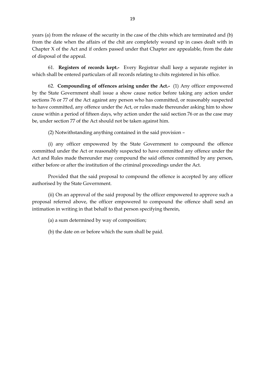years (a) from the release of the security in the case of the chits which are terminated and (b) from the date when the affairs of the chit are completely wound up in cases dealt with in Chapter X of the Act and if orders passed under that Chapter are appealable, from the date of disposal of the appeal.

61. **Registers of records kept.-** Every Registrar shall keep a separate register in which shall be entered particulars of all records relating to chits registered in his office.

62. **Compounding of offences arising under the Act.-** (1) Any officer empowered by the State Government shall issue a show cause notice before taking any action under sections 76 or 77 of the Act against any person who has committed, or reasonably suspected to have committed, any offence under the Act, or rules made thereunder asking him to show cause within a period of fifteen days, why action under the said section 76 or as the case may be, under section 77 of the Act should not be taken against him.

(2) Notwithstanding anything contained in the said provision –

(i) any officer empowered by the State Government to compound the offence committed under the Act or reasonably suspected to have committed any offence under the Act and Rules made thereunder may compound the said offence committed by any person, either before or after the institution of the criminal proceedings under the Act.

Provided that the said proposal to compound the offence is accepted by any officer authorised by the State Government.

(ii) On an approval of the said proposal by the officer empowered to approve such a proposal referred above, the officer empowered to compound the offence shall send an intimation in writing in that behalf to that person specifying therein,

(a) a sum determined by way of composition;

(b) the date on or before which the sum shall be paid.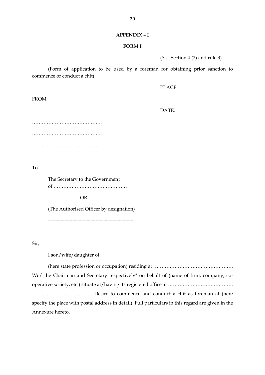#### **FORM I**

(*See* Section 4 (2) and rule 3)

(Form of application to be used by a foreman for obtaining prior sanction to commence or conduct a chit).

PLACE:

FROM

DATE:

……………………………………. ……………………………………. …………………………………………

To

The Secretary to the Government of ………………………………………

OR

(The Authorised Officer by designation)

----------------------------------------------------

Sir,

I son/wife/daughter of

(here state profession or occupation) residing at …………………………………………. We/ the Chairman and Secretary respectively\* on behalf of (name of firm, company, cooperative society, etc.) situate at/having its registered office at …………………………………. ………………………………. Desire to commence and conduct a chit as foreman at (here specify the place with postal address in detail). Full particulars in this regard are given in the Annexure hereto.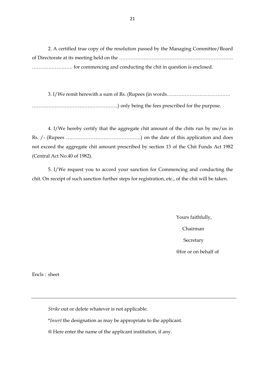2. A certified true copy of the resolution passed by the Managing Committee/Board of Directorate at its meeting held on the ……………………………………………………………. ……………………. for commencing and conducting the chit in question is enclosed.

3. I/We remit herewith a sum of Rs. (Rupees (in words………………………………… ……………………………………………..) only being the fees prescribed for the purpose.

4. I/We hereby certify that the aggregate chit amount of the chits run by me/us in Rs. /- (Rupees ……………………………………….) on the date of this application and does not exceed the aggregate chit amount prescribed by section 13 of the Chit Funds Act 1982 (Central Act No.40 of 1982).

5. I/We request you to accord your sanction for Commencing and conducting the chit. On receipt of such sanction further steps for registration, etc., of the chit will be taken.

> Yours faithfully, Chairman **Secretary** @for or on behalf of

Encls : sheet

*Strike* out or delete whatever is not applicable.

\**Insert* the designation as may be appropriate to the applicant.

@ Here enter the name of the applicant institution, if any.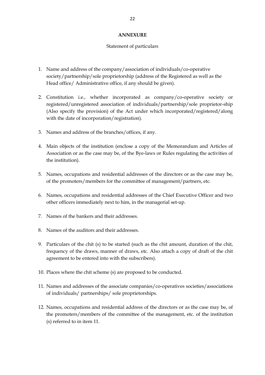#### **ANNEXURE**

#### Statement of particulars

- 1. Name and address of the company/association of individuals/co-operative society/partnership/sole proprietorship (address of the Registered as well as the Head office/ Administrative office, if any should be given).
- 2. Constitution i.e., whether incorporated as company/co-operative society or registered/unregistered association of individuals/partnership/sole proprietor-ship (Also specify the provision) of the Act under which incorporated/registered/along with the date of incorporation/registration).
- 3. Names and address of the branches/offices, if any.
- 4. Main objects of the institution (enclose a copy of the Memorandum and Articles of Association or as the case may be, of the Bye-laws or Rules regulating the activities of the institution).
- 5. Names, occupations and residential addresses of the directors or as the case may be, of the promoters/members for the committee of management/partners, etc.
- 6. Names, occupations and residential addresses of the Chief Executive Officer and two other officers immediately next to him, in the managerial set-up.
- 7. Names of the bankers and their addresses.
- 8. Names of the auditors and their addresses.
- 9. Particulars of the chit (s) to be started (such as the chit amount, duration of the chit, frequency of the draws, manner of draws, etc. Also attach a copy of draft of the chit agreement to be entered into with the subscribers).
- 10. Places where the chit scheme (s) are proposed to be conducted.
- 11. Names and addresses of the associate companies/co-operatives societies/associations of individuals/ partnerships/ sole proprietorships.
- 12. Names, occupations and residential address of the directors or as the case may be, of the promoters/members of the committee of the management, etc. of the institution (s) referred to in item 11.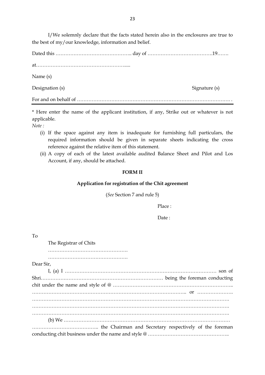I/We solemnly declare that the facts stated herein also in the enclosures are true to the best of my/our knowledge, information and belief.

Dated this ……………………………………….. day of ………………………………….19……. at………………………………………………..... Name (s) Designation (s) Signature (s) For and on behalf of …………………………………………………………………………………. .

\* Here enter the name of the applicant institution, if any, Strike out or whatever is not applicable.

*Note :* 

- (i) If the space against any item is inadequate for furnishing full particulars, the required information should be given in separate sheets indicating the cross reference against the relative item of this statement.
- (ii) A copy of each of the latest available audited Balance Sheet and Pilot and Los Account, if any, should be attached.

#### **FORM II**

#### **Application for registration of the Chit agreement**

(*See* Section 7 and rule 5)

Place :

Date:

To

The Registrar of Chits

…………………………………………. ………………………………………….

Dear Sir,

I, (a) I ………………………………………………………………………………… son of Shri………………………………………………………………… being the foreman conducting chit under the name and style of @ ……………………………………………………………….. ………………………………………………………………………………….. or …………………. …………………………………………………………………………………………………………. …………………………………………………………………………………………………………. …………………………………………………………………………………………………………. (b) We ………………………………………………………………………………………… ………………………………….. the Chairman and Secretary respectively of the foreman conducting chit business under the name and style @ …………………………………………..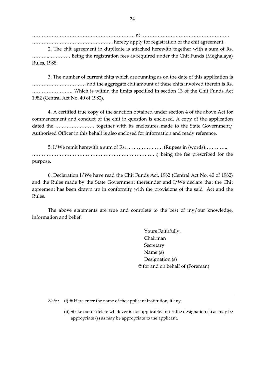……………………………………………………… at ……………………………………………… ………………………………………….. hereby apply for registration of the chit agreement. 2. The chit agreement in duplicate is attached herewith together with a sum of Rs. ………..…………. Being the registration fees as required under the Chit Funds (Meghalaya)

Rules, 1988.

3. The number of current chits which are running as on the date of this application is …………………………… and the aggregate chit amount of these chits involved therein is Rs. ……………………. Which is within the limits specified in section 13 of the Chit Funds Act 1982 (Central Act No. 40 of 1982).

4. A certified true copy of the sanction obtained under section 4 of the above Act for commencement and conduct of the chit in question is enclosed. A copy of the application dated the …………………… together with its enclosures made to the State Government/ Authorised Officer in this behalf is also enclosed for information and ready reference.

5. I/We remit herewith a sum of Rs. …………………. (Rupees in (words)………….. …………………………………………………………………..) being the fee prescribed for the purpose.

6. Declaration I/We have read the Chit Funds Act, 1982 (Central Act No. 40 of 1982) and the Rules made by the State Government thereunder and I/We declare that the Chit agreement has been drawn up in conformity with the provisions of the said Act and the Rules.

The above statements are true and complete to the best of my/our knowledge, information and belief.

> Yours Faithfully, Chairman **Secretary** Name (s) Designation (s) @ for and on behalf of (Foreman)

*Note* : (i) @ Here enter the name of the applicant institution, if any.

(ii) Strike out or delete whatever is not applicable. Insert the designation (s) as may be appropriate (s) as may be appropriate to the applicant.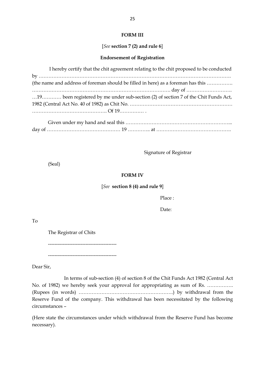#### **FORM III**

#### [*See* **section 7 (2) and rule 6**]

#### **Endorsement of Registration**

| I hereby certify that the chit agreement relating to the chit proposed to be conducted |
|----------------------------------------------------------------------------------------|
|                                                                                        |
| (the name and address of foreman should be filled in here) as a foreman has this       |
|                                                                                        |
| 19 been registered by me under sub-section (2) of section 7 of the Chit Funds Act,     |
|                                                                                        |
|                                                                                        |
|                                                                                        |

Given under my hand and seal this ………………………………………………………... day of ……………………………………… 19 ………….. at ……………………………………….

Signature of Registrar

(Seal)

#### **FORM IV**

#### [*See* **section 8 (4) and rule 9**]

Place :

Date:

To

The Registrar of Chits

------------------------------------------

------------------------------------------

Dear Sir,

In terms of sub-section (4) of section 8 of the Chit Funds Act 1982 (Central Act No. of 1982) we hereby seek your approval for appropriating as sum of Rs. ……………. (Rupees (in words) ………………………………………………….) by withdrawal from the Reserve Fund of the company. This withdrawal has been necessitated by the following circumstances –

(Here state the circumstances under which withdrawal from the Reserve Fund has become necessary).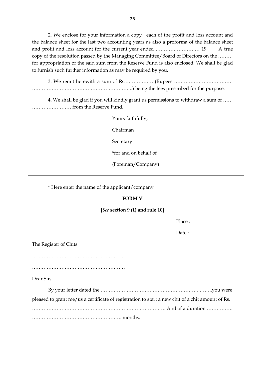2. We enclose for your information a copy , each of the profit and loss account and the balance sheet for the last two accounting years as also a proforma of the balance sheet and profit and loss account for the current year ended ……………………… 19 . A true copy of the resolution passed by the Managing Committee/Board of Directors on the ……… for appropriation of the said sum from the Reserve Fund is also enclosed. We shall be glad to furnish such further information as may be required by you.

3. We remit herewith a sum of Rs.………………(Rupees ……………………………… ……………………………………………………..) being the fees prescribed for the purpose.

4. We shall be glad if you will kindly grant us permissions to withdraw a sum of …… …………………… from the Reserve Fund.

> Yours faithfully, Chairman **Secretary** \*for and on behalf of (Foreman/Company)

\* Here enter the name of the applicant/company

#### **FORM V**

#### [*See* **section 9 (1) and rule 10**]

Place :

Date :

The Register of Chits

…………………………………………………

…………………………………………………

Dear Sir,

By your letter dated the …………………………………………………… ……..you were

pleased to grant me/us a certificate of registration to start a new chit of a chit amount of Rs.

………………………………………………………………………. And of a duration …………….

………………………………………………. months.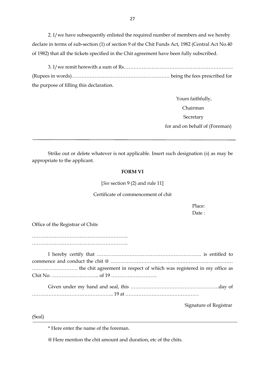2. I/we have subsequently enlisted the required number of members and we hereby declare in terms of sub-section (1) of section 9 of the Chit Funds Act, 1982 (Central Act No.40 of 1982) that all the tickets specified in the Chit agreement have been fully subscribed.

3. I/we remit herewith a sum of Rs…………………………………………………………. (Rupees in words)…………………………………………………… being the fees prescribed for the purpose of filling this declaration.

> Yours faithfully, Chairman **Secretary** for and on behalf of (Foreman)

Strike out or delete whatever is not applicable. Insert such designation (s) as may be appropriate to the applicant.

#### **FORM VI**

[*See* section 9 (2) and rule 11]

#### Certificate of commencement of chit

Place: Date ·

Office of the Registrar of Chits

………………………………………………….. …………………………………………………..

I hereby certify that ………………………………………………………. is entitled to commence and conduct the chit @ ………………………………………………………………… ………………………. the chit agreement in respect of which was registered in my office as Chit No. ……………………….. of 19 ……………………….

Given under my hand and seal, this ………………………………………………day of ………………………………………….. 19 at ………………………………………

Signature of Registrar

(Seal)

\* Here enter the name of the foreman.

@ Here mention the chit amount and duration, etc of the chits.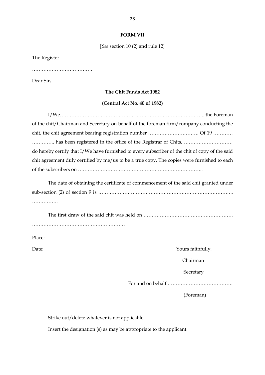#### **FORM VII**

[*See* section 10 (2) and rule 12]

The Register

…………………………………………

Dear Sir,

#### **The Chit Funds Act 1982**

#### **(Central Act No. 40 of 1982)**

I/We…………………………………………………………………………….. the Foreman of the chit/Chairman and Secretary on behalf of the foreman firm/company conducting the chit, the chit agreement bearing registration number …………………………. Of 19 ………… ………….. has been registered in the office of the Registrar of Chits, ………………………… do hereby certify that I/We have furnished to every subscriber of the chit of copy of the said chit agreement duly certified by me/us to be a true copy. The copies were furnished to each of the subscribers on …………………………………………………………………..

The date of obtaining the certificate of commencement of the said chit granted under sub-section (2) of section 9 is ……………………………………………………………………….. …………….

The first draw of the said chit was held on ………………………………………………. …………………………………………………

Place:

Date: Yours faithfully,

Chairman

**Secretary** 

For and on behalf ………………………………….

(Foreman)

Strike out/delete whatever is not applicable.

Insert the designation (s) as may be appropriate to the applicant.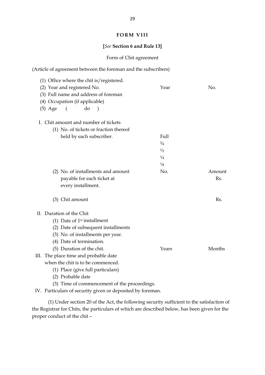#### **FORM VIII**

## **[***See* **Section 6 and Rule 13]**

## Form of Chit agreement

| (Article of agreement between the foreman and the subscribers)                                                                                                                                    |                                                      |               |
|---------------------------------------------------------------------------------------------------------------------------------------------------------------------------------------------------|------------------------------------------------------|---------------|
| $(1)$ Office where the chit is/registered.<br>(2) Year and registered No.<br>(3) Full name and address of foreman<br>(4) Occupation (if applicable)<br>do<br>$(5)$ Age<br>$\sqrt{2}$<br>$\lambda$ | Year                                                 | No.           |
| I. Chit amount and number of tickets                                                                                                                                                              |                                                      |               |
| (1) No. of tickets or fraction thereof                                                                                                                                                            |                                                      |               |
| held by each subscriber.                                                                                                                                                                          | Full<br>$\frac{3}{4}$<br>1/2<br>$\frac{1}{4}$<br>1/8 |               |
| (2) No. of installments and amount<br>payable for each ticket at<br>every installment.                                                                                                            | No.                                                  | Amount<br>Rs. |
| (3) Chit amount                                                                                                                                                                                   |                                                      | Rs.           |
| II. Duration of the Chit                                                                                                                                                                          |                                                      |               |
| (1) Date of $1st$ installment                                                                                                                                                                     |                                                      |               |
| (2) Date of subsequent installments                                                                                                                                                               |                                                      |               |
| (3) No. of installments per year.                                                                                                                                                                 |                                                      |               |
| (4) Date of termination.                                                                                                                                                                          |                                                      |               |
| (5) Duration of the chit.                                                                                                                                                                         | Years                                                | Months        |
| III. The place time and probable date                                                                                                                                                             |                                                      |               |
| when the chit is to be commenced.                                                                                                                                                                 |                                                      |               |
| (1) Place (give full particulars)                                                                                                                                                                 |                                                      |               |
| (2) Probable date                                                                                                                                                                                 |                                                      |               |
| (3) Time of commencement of the proceedings.                                                                                                                                                      |                                                      |               |

IV. Particulars of security given or deposited by foreman.

(1) Under section 20 of the Act, the following security sufficient to the satisfaction of the Registrar for Chits, the particulars of which are described below, has been given for the proper conduct of the chit –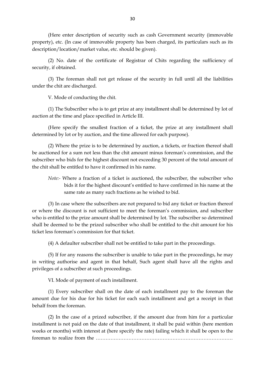(Here enter description of security such as cash Government security (immovable property), etc. (In case of immovable property has been charged, its particulars such as its description/location/market value, etc. should be given).

(2) No. date of the certificate of Registrar of Chits regarding the sufficiency of security, if obtained.

(3) The foreman shall not get release of the security in full until all the liabilities under the chit are discharged.

V. Mode of conducting the chit.

(1) The Subscriber who is to get prize at any installment shall be determined by lot of auction at the time and place specified in Article III.

(Here specify the smallest fraction of a ticket, the prize at any installment shall determined by lot or by auction, and the time allowed for each purpose).

(2) Where the prize is to be determined by auction, a tickets, or fraction thereof shall be auctioned for a sum not less than the chit amount minus foreman's commission, and the subscriber who bids for the highest discount not exceeding 30 percent of the total amount of the chit shall be entitled to have it confirmed in his name.

*Note:-* Where a fraction of a ticket is auctioned, the subscriber, the subscriber who bids it for the highest discount's entitled to have confirmed in his name at the same rate as many such fractions as he wished to bid.

(3) In case where the subscribers are not prepared to bid any ticket or fraction thereof or where the discount is not sufficient to meet the foreman's commission, and subscriber who is entitled to the prize amount shall be determined by lot. The subscriber so determined shall be deemed to be the prized subscriber who shall be entitled to the chit amount for his ticket less foreman's commission for that ticket.

(4) A defaulter subscriber shall not be entitled to take part in the proceedings.

(5) If for any reasons the subscriber is unable to take part in the proceedings, he may in writing authorise and agent in that behalf, Such agent shall have all the rights and privileges of a subscriber at such proceedings.

VI. Mode of payment of each installment.

(1) Every subscriber shall on the date of each installment pay to the foreman the amount due for his due for his ticket for each such installment and get a receipt in that behalf from the foreman.

(2) In the case of a prized subscriber, if the amount due from him for a particular installment is not paid on the date of that installment, it shall be paid within (here mention weeks or months) with interest at (here specify the rate) failing which it shall be open to the foreman to realize from the …………………………………………………………………………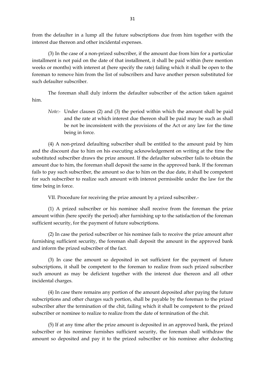from the defaulter in a lump all the future subscriptions due from him together with the interest due thereon and other incidental expenses.

(3) In the case of a non-prized subscriber, if the amount due from him for a particular installment is not paid on the date of that installment, it shall be paid within (here mention weeks or months) with interest at (here specify the rate) failing which it shall be open to the foreman to remove him from the list of subscribers and have another person substituted for such defaulter subscriber.

The foreman shall duly inform the defaulter subscriber of the action taken against him.

*Note:-* Under clauses (2) and (3) the period within which the amount shall be paid and the rate at which interest due thereon shall be paid may be such as shall be not be inconsistent with the provisions of the Act or any law for the time being in force.

(4) A non-prized defaulting subscriber shall be entitled to the amount paid by him and the discount due to him on his executing acknowledgement on writing at the time the substituted subscriber draws the prize amount. If the defaulter subscriber fails to obtain the amount due to him, the foreman shall deposit the same in the approved bank. If the foreman fails to pay such subscriber, the amount so due to him on the due date, it shall be competent for such subscriber to realize such amount with interest permissible under the law for the time being in force.

VII. Procedure for receiving the prize amount by a prized subscriber.-

(1) A prized subscriber or his nominee shall receive from the foreman the prize amount within (here specify the period) after furnishing up to the satisfaction of the foreman sufficient security, for the payment of future subscriptions.

(2) In case the period subscriber or his nominee fails to receive the prize amount after furnishing sufficient security, the foreman shall deposit the amount in the approved bank and inform the prized subscriber of the fact.

(3) In case the amount so deposited in sot sufficient for the payment of future subscriptions, it shall be competent to the foreman to realize from such prized subscriber such amount as may be deficient together with the interest due thereon and all other incidental charges.

(4) In case there remains any portion of the amount deposited after paying the future subscriptions and other charges such portion, shall be payable by the foreman to the prized subscriber after the termination of the chit, failing which it shall be competent to the prized subscriber or nominee to realize to realize from the date of termination of the chit.

(5) If at any time after the prize amount is deposited in an approved bank, the prized subscriber or his nominee furnishes sufficient security, the foreman shall withdraw the amount so deposited and pay it to the prized subscriber or his nominee after deducting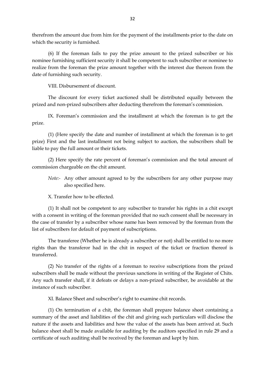therefrom the amount due from him for the payment of the installments prior to the date on which the security is furnished.

(6) If the foreman fails to pay the prize amount to the prized subscriber or his nominee furnishing sufficient security it shall be competent to such subscriber or nominee to realize from the foreman the prize amount together with the interest due thereon from the date of furnishing such security.

VIII. Disbursement of discount.

The discount for every ticket auctioned shall be distributed equally between the prized and non-prized subscribers after deducting therefrom the foreman's commission.

IX. Foreman's commission and the installment at which the foreman is to get the prize.

(1) (Here specify the date and number of installment at which the foreman is to get prize) First and the last installment not being subject to auction, the subscribers shall be liable to pay the full amount or their tickets.

(2) Here specify the rate percent of foreman's commission and the total amount of commission chargeable on the chit amount.

*Note:-* Any other amount agreed to by the subscribers for any other purpose may also specified here.

X. Transfer how to be effected.

(1) It shall not be competent to any subscriber to transfer his rights in a chit except with a consent in writing of the foreman provided that no such consent shall be necessary in the case of transfer by a subscriber whose name has been removed by the foreman from the list of subscribers for default of payment of subscriptions.

The transferee (Whether he is already a subscriber or not) shall be entitled to no more rights than the transferor had in the chit in respect of the ticket or fraction thereof is transferred.

(2) No transfer of the rights of a foreman to receive subscriptions from the prized subscribers shall be made without the previous sanctions in writing of the Register of Chits. Any such transfer shall, if it defeats or delays a non-prized subscriber, be avoidable at the instance of such subscriber.

XI. Balance Sheet and subscriber's right to examine chit records.

(1) On termination of a chit, the foreman shall prepare balance sheet containing a summary of the asset and liabilities of the chit and giving such particulars will disclose the nature if the assets and liabilities and how the value of the assets has been arrived at. Such balance sheet shall be made available for auditing by the auditors specified in rule 29 and a certificate of such auditing shall be received by the foreman and kept by him.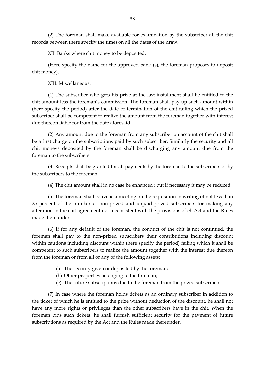(2) The foreman shall make available for examination by the subscriber all the chit records between (here specify the time) on all the dates of the draw.

XII. Banks where chit money to be deposited.

(Here specify the name for the approved bank (s), the foreman proposes to deposit chit money).

XIII. Miscellaneous.

(1) The subscriber who gets his prize at the last installment shall be entitled to the chit amount less the foreman's commission. The foreman shall pay up such amount within (here specify the period) after the date of termination of the chit failing which the prized subscriber shall be competent to realize the amount from the foreman together with interest due thereon liable for from the date aforesaid.

(2) Any amount due to the foreman from any subscriber on account of the chit shall be a first charge on the subscriptions paid by such subscriber. Similarly the security and all chit moneys deposited by the foreman shall be discharging any amount due from the foreman to the subscribers.

(3) Receipts shall be granted for all payments by the foreman to the subscribers or by the subscribers to the foreman.

(4) The chit amount shall in no case be enhanced ; but if necessary it may be reduced.

(5) The foreman shall convene a meeting on the requisition in writing of not less than 25 percent of the number of non-prized and unpaid prized subscribers for making any alteration in the chit agreement not inconsistent with the provisions of eh Act and the Rules made thereunder.

(6) If for any default of the foreman, the conduct of the chit is not continued, the foreman shall pay to the non-prized subscribers their contributions including discount within cautions including discount within (here specify the period) failing which it shall be competent to such subscribers to realize the amount together with the interest due thereon from the foreman or from all or any of the following assets:

- (a) The security given or deposited by the foreman;
- (b) Other properties belonging to the foreman;
- (c) The future subscriptions due to the foreman from the prized subscribers.

(7) In case where the foreman holds tickets as an ordinary subscriber in addition to the ticket of which he is entitled to the prize without deduction of the discount, he shall not have any more rights or privileges than the other subscribers have in the chit. When the foreman bids such tickets, he shall furnish sufficient security for the payment of future subscriptions as required by the Act and the Rules made thereunder.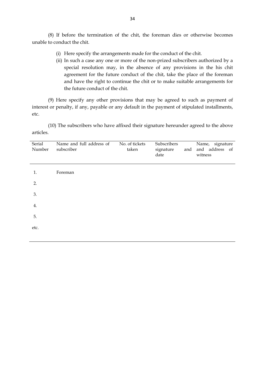(8) If before the termination of the chit, the foreman dies or otherwise becomes unable to conduct the chit.

- (i) Here specify the arrangements made for the conduct of the chit.
- (ii) In such a case any one or more of the non-prized subscribers authorized by a special resolution may, in the absence of any provisions in the his chit agreement for the future conduct of the chit, take the place of the foreman and have the right to continue the chit or to make suitable arrangements for the future conduct of the chit.

(9) Here specify any other provisions that may be agreed to such as payment of interest or penalty, if any, payable or any default in the payment of stipulated installments, etc.

(10) The subscribers who have affixed their signature hereunder agreed to the above articles.

| Serial<br>Number | Name and full address of<br>subscriber | No. of tickets<br>taken | Subscribers<br>signature<br>date | and | Name, signature<br>and address of<br>witness |
|------------------|----------------------------------------|-------------------------|----------------------------------|-----|----------------------------------------------|
| 1.               | Foreman                                |                         |                                  |     |                                              |
| 2.               |                                        |                         |                                  |     |                                              |
| 3.               |                                        |                         |                                  |     |                                              |
| 4.               |                                        |                         |                                  |     |                                              |
| 5.               |                                        |                         |                                  |     |                                              |
| etc.             |                                        |                         |                                  |     |                                              |
|                  |                                        |                         |                                  |     |                                              |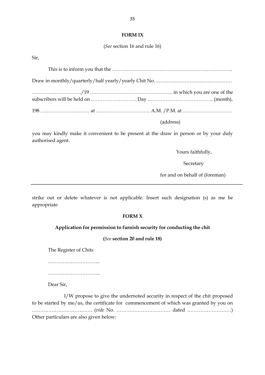#### **FORM IX**

(*See* section 16 and rule 16)

Sir,

| (address) |  |
|-----------|--|

you may kindly make it convenient to be present at the draw in person or by your duly authorised agent.

Yours faithfully,

Secretary

for and on behalf of (foreman)

strike out or delete whatever is not applicable. Insert such designation (s) as me be appropriate

#### **FORM X**

#### **Application for permission to furnish security for conducting the chit**

**(***See* **section 20 and rule 18)**

The Register of Chits

…………………………………

…………………………..

Dear Sir,

I/W propose to give the undernoted security in respect of the chit proposed to be started by me/us, the certificate for commencement of which was granted by you on ………………………………. (*vide* No. …………………………… dated ………………………) Other particulars are also given below: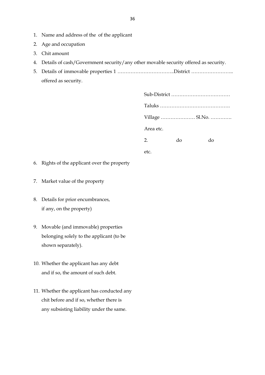- 1. Name and address of the of the applicant
- 2. Age and occupation
- 3. Chit amount
- 4. Details of cash/Government security/any other movable security offered as security.
- 5. Details of immovable properties 1 ……………………………..District …………………….. offered as security.

|           | Village  Sl.No. |    |
|-----------|-----------------|----|
| Area etc. |                 |    |
| 2.        | do              | do |
| etc.      |                 |    |

- 6. Rights of the applicant over the property
- 7. Market value of the property
- 8. Details for prior encumbrances, if any, on the property)
- 9. Movable (and immovable) properties belonging solely to the applicant (to be shown separately).
- 10. Whether the applicant has any debt and if so, the amount of such debt.
- 11. Whether the applicant has conducted any chit before and if so, whether there is any subsisting liability under the same.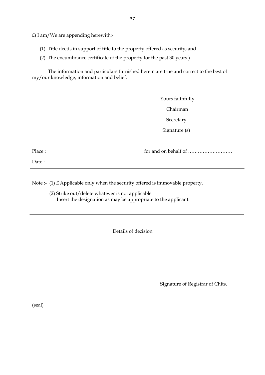£) I am/We are appending herewith:-

- (1) Title deeds in support of title to the property offered as security; and
- (2) The encumbrance certificate of the property for the past 30 years.)

The information and particulars furnished herein are true and correct to the best of my/our knowledge, information and belief.

> Yours faithfully Chairman **Secretary** Signature (s)

Date :

Place : for and on behalf of ………………………

Note :- (1) £ Applicable only when the security offered is immovable property.

(2) Strike out/delete whatever is not applicable. Insert the designation as may be appropriate to the applicant.

Details of decision

Signature of Registrar of Chits.

(seal)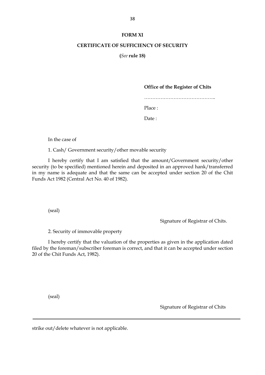#### **FORM XI**

#### **CERTIFICATE OF SUFFICIENCY OF SECURITY**

**(***See* **rule 18)**

#### **Office of the Register of Chits**

……………………………………..

Place :

Date :

In the case of

1. Cash/ Government security/other movable security

I hereby certify that I am satisfied that the amount/Government security/other security (to be specified) mentioned herein and deposited in an approved hank/transferred in my name is adequate and that the same can be accepted under section 20 of the Chit Funds Act 1982 (Central Act No. 40 of 1982).

(seal)

Signature of Registrar of Chits.

2. Security of immovable property

I hereby certify that the valuation of the properties as given in the application dated filed by the foreman/subscriber foreman is correct, and that it can be accepted under section 20 of the Chit Funds Act, 1982).

(seal)

Signature of Registrar of Chits

strike out/delete whatever is not applicable.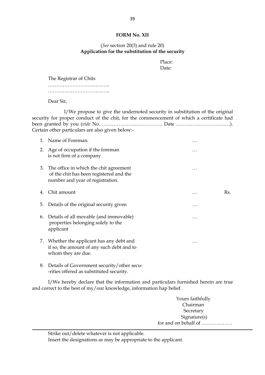#### **FORM No. XII**

#### (*See* section 20(3) and rule 20) **Application for the substitution of the security**

Place: Date:

The Registrar of Chits

………………………………………

………………………………..

Dear Sir,

I/We propose to give the undernoted security in substitution of the original security for proper conduct of the chit, for the commencement of which a certificate had been granted by you (*vide* No. ………………………………. Date ……………………………). Certain other particulars are also given below:-

| 1. | Name of Foreman.                                                                                                         |          |     |
|----|--------------------------------------------------------------------------------------------------------------------------|----------|-----|
| 2. | Age of occupation if the foreman<br>is not firm of a company                                                             | .        |     |
|    | 3. The office in which the chit agreement<br>of the chit has been registered and the<br>number and year of registration. | $\cdots$ |     |
| 4. | Chit amount                                                                                                              | .        | Rs. |
| 5. | Details of the original security given                                                                                   | .        |     |
| 6. | Details of all movable (and immovable)<br>properties belonging solely to the<br>applicant                                | .        |     |
|    | 7. Whether the applicant has any debt and<br>if so, the amount of any such debt and to<br>whom they are due.             | $\cdots$ |     |
| 8. | Details of Government security/other secu-                                                                               |          |     |

-rities offered as substituted security.

I/We hereby declare that the information and particulars furnished herein are true and correct to the best of my/our knowledge, information hap belief.

> Yours faithfully Chairman Secretary Signature(s) for and on behalf of ……………….

Strike out/delete whatever is not applicable.

Insert the designations as may be appropriate to the applicant.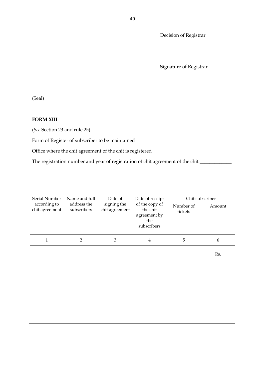Decision of Registrar

Signature of Registrar

(Seal)

#### **FORM XIII**

(*See* Section 23 and rule 25)

Form of Register of subscriber to be maintained

Office where the chit agreement of the chit is registered \_\_\_\_\_\_\_\_\_\_\_\_\_\_\_\_\_\_\_\_\_\_\_

\_\_\_\_\_\_\_\_\_\_\_\_\_\_\_\_\_\_\_\_\_\_\_\_\_\_\_\_\_\_\_\_\_\_\_\_\_\_\_\_\_\_\_\_\_\_\_\_\_\_\_\_\_\_\_

The registration number and year of registration of chit agreement of the chit \_\_\_\_\_\_\_\_\_\_\_\_\_

| Serial Number<br>according to<br>chit agreement | Name and full<br>address the<br>subscribers | Date of<br>signing the<br>chit agreement | Date of receipt<br>of the copy of<br>the chit<br>agreement by<br>the<br>subscribers | Chit subscriber<br>Number of<br>tickets | Amount       |
|-------------------------------------------------|---------------------------------------------|------------------------------------------|-------------------------------------------------------------------------------------|-----------------------------------------|--------------|
|                                                 |                                             |                                          | 4                                                                                   | b.                                      | <sub>b</sub> |

Rs.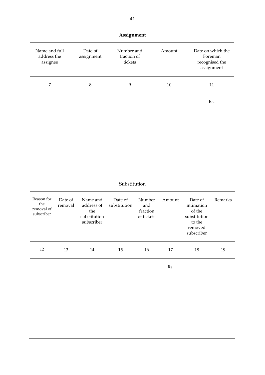| Assignment                               |                       |                                      |        |                                                              |  |  |
|------------------------------------------|-----------------------|--------------------------------------|--------|--------------------------------------------------------------|--|--|
| Name and full<br>address the<br>assignee | Date of<br>assignment | Number and<br>fraction of<br>tickets | Amount | Date on which the<br>Foreman<br>recognised the<br>assignment |  |  |
| 7                                        | 8                     | 9                                    | 10     | 11                                                           |  |  |
|                                          |                       |                                      |        | Rs.                                                          |  |  |

## Substitution

| Reason for<br>the<br>removal of<br>subscriber | Date of<br>removal | Name and<br>address of<br>the<br>substitution<br>subscriber | Date of<br>substitution | Number<br>and<br>fraction<br>of tickets | Amount | Date of<br>intimation<br>of the<br>substitution<br>to the<br>removed<br>subscriber | Remarks |
|-----------------------------------------------|--------------------|-------------------------------------------------------------|-------------------------|-----------------------------------------|--------|------------------------------------------------------------------------------------|---------|
| 12                                            | 13                 | 14                                                          | 15                      | 16                                      | 17     | 18                                                                                 | 19      |

Rs.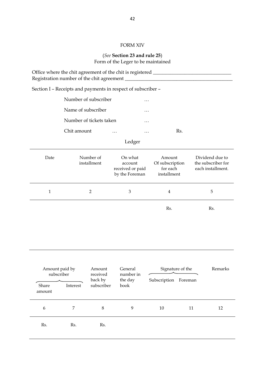## FORM XIV

#### (*See* **Section 23 and rule 25**) Form of the Leger to be maintained

|                               |                    |                                   | Office where the chit agreement of the chit is registered _______________________ |                                                      |         |                                                            |
|-------------------------------|--------------------|-----------------------------------|-----------------------------------------------------------------------------------|------------------------------------------------------|---------|------------------------------------------------------------|
|                               |                    |                                   | Section I - Receipts and payments in respect of subscriber -                      |                                                      |         |                                                            |
|                               |                    | Number of subscriber              | .                                                                                 |                                                      |         |                                                            |
|                               | Name of subscriber |                                   | .                                                                                 |                                                      |         |                                                            |
|                               |                    | Number of tickets taken           | .                                                                                 |                                                      |         |                                                            |
|                               | Chit amount        |                                   |                                                                                   | .                                                    | Rs.     |                                                            |
|                               |                    |                                   | Ledger                                                                            |                                                      |         |                                                            |
| Date                          |                    | Number of<br>installment          | On what<br>account<br>received or paid<br>by the Foreman                          | Amount<br>Of subscription<br>for each<br>installment |         | Dividend due to<br>the subscriber for<br>each installment. |
| $\mathbf{1}$                  |                    | $\overline{2}$                    | 3                                                                                 | 4                                                    |         | 5                                                          |
|                               |                    |                                   |                                                                                   | Rs.                                                  |         | Rs.                                                        |
| Amount paid by                |                    | Amount                            | General                                                                           | Signature of the                                     |         | Remarks                                                    |
| subscriber<br>Share<br>amount | Interest           | received<br>back by<br>subscriber | number in<br>the day<br>book                                                      | Subscription                                         | Foreman |                                                            |
| $\boldsymbol{6}$              | $\overline{7}$     | $\,8\,$                           | 9                                                                                 | 10                                                   | 11      | 12                                                         |
| Rs.                           | Rs.                | Rs.                               |                                                                                   |                                                      |         |                                                            |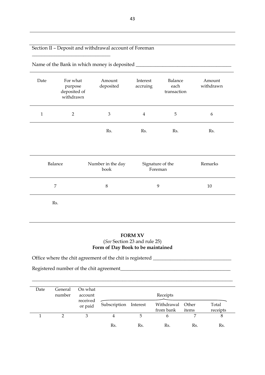## Section II – Deposit and withdrawal account of Foreman

| Date           | For what<br>purpose<br>deposited of<br>withdrawn | Amount<br>deposited       | Interest<br>accruing | Balance<br>each<br>transaction | Amount<br>withdrawn |
|----------------|--------------------------------------------------|---------------------------|----------------------|--------------------------------|---------------------|
| $\mathbf{1}$   | $\overline{2}$                                   | $\mathfrak{B}$            | $\overline{4}$       | 5                              | 6                   |
|                |                                                  | Rs.                       | Rs.                  | Rs.                            | Rs.                 |
| Balance        |                                                  | Number in the day<br>book |                      | Signature of the<br>Foreman    | Remarks             |
| $\overline{7}$ |                                                  | $\,8\,$                   | 9                    |                                | 10                  |
|                | Rs.                                              |                           |                      |                                |                     |

Name of the Bank in which money is deposited \_\_\_\_\_\_\_\_\_\_\_\_\_\_\_\_\_\_\_\_\_\_\_\_\_\_\_\_\_\_\_\_\_\_\_\_\_\_\_

 $\overline{\phantom{a}}$  , where  $\overline{\phantom{a}}$  , where  $\overline{\phantom{a}}$  ,  $\overline{\phantom{a}}$  ,  $\overline{\phantom{a}}$  ,  $\overline{\phantom{a}}$  ,  $\overline{\phantom{a}}$  ,  $\overline{\phantom{a}}$  ,  $\overline{\phantom{a}}$  ,  $\overline{\phantom{a}}$  ,  $\overline{\phantom{a}}$  ,  $\overline{\phantom{a}}$  ,  $\overline{\phantom{a}}$  ,  $\overline{\phantom{a}}$  ,  $\overline{\phantom{a}}$  ,

## **FORM XV** (*See* Section 23 and rule 25) **Form of Day Book to be maintained**

Office where the chit agreement of the chit is registered \_\_\_\_\_\_\_\_\_\_\_\_\_\_\_\_\_\_\_\_\_\_\_ Registered number of the chit agreement\_\_\_\_\_\_\_\_\_\_\_\_\_\_\_\_\_\_\_\_\_\_\_\_\_\_\_\_\_\_\_\_\_\_\_\_\_\_\_\_\_\_\_\_\_

| Date | General<br>number | On what<br>account  |                       |     |                               |       |                   |
|------|-------------------|---------------------|-----------------------|-----|-------------------------------|-------|-------------------|
|      |                   | received<br>or paid | Subscription Interest |     | Withdrawal Other<br>from bank | items | Total<br>receipts |
|      |                   | 3                   | 4                     |     | h                             |       | ŏ                 |
|      |                   |                     | Rs.                   | Rs. | Rs.                           | Rs.   | Rs.               |

\_\_\_\_\_\_\_\_\_\_\_\_\_\_\_\_\_\_\_\_\_\_\_\_\_\_\_\_\_\_\_\_\_\_\_\_\_\_\_\_\_\_\_\_\_\_\_\_\_\_\_\_\_\_\_\_\_\_\_\_\_\_\_\_\_\_\_\_\_\_\_\_\_\_\_\_\_\_\_\_\_\_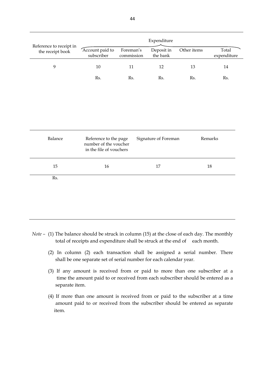|                                             | Expenditure                                                               |                         |                        |             |                      |  |  |  |
|---------------------------------------------|---------------------------------------------------------------------------|-------------------------|------------------------|-------------|----------------------|--|--|--|
| Reference to receipt in<br>the receipt book | Account paid to<br>subscriber                                             | Foreman's<br>commission | Deposit in<br>the bank | Other items | Total<br>expenditure |  |  |  |
| 9                                           | $10\,$                                                                    | 11                      | 12                     | 13          | 14                   |  |  |  |
|                                             | Rs.                                                                       | Rs.                     | Rs.                    | Rs.         | Rs.                  |  |  |  |
|                                             |                                                                           |                         |                        |             |                      |  |  |  |
|                                             |                                                                           |                         |                        |             |                      |  |  |  |
|                                             |                                                                           |                         |                        |             |                      |  |  |  |
| Balance                                     | Reference to the page<br>number of the voucher<br>in the file of vouchers |                         | Signature of Foreman   |             | Remarks              |  |  |  |
| $15\,$                                      | 16                                                                        |                         | 17                     |             | 18                   |  |  |  |
| Rs.                                         |                                                                           |                         |                        |             |                      |  |  |  |
|                                             |                                                                           |                         |                        |             |                      |  |  |  |

- *Note –* (1) The balance should be struck in column (15) at the close of each day. The monthly total of receipts and expenditure shall be struck at the end of each month.
	- (2) In column (2) each transaction shall be assigned a serial number. There shall be one separate set of serial number for each calendar year.
	- (3) If any amount is received from or paid to more than one subscriber at a time the amount paid to or received from each subscriber should be entered as a separate item.
	- (4) If more than one amount is received from or paid to the subscriber at a time amount paid to or received from the subscriber should be entered as separate item.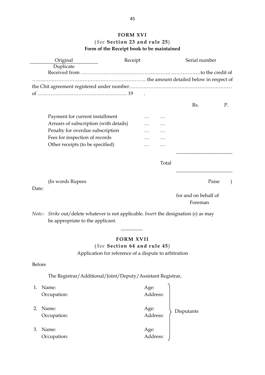## **FORM XVI** (*See* **Section 23 and rule 25**) **Form of the Receipt book to be maintained**

| Original                                                                                      | Receipt                                               |          |       | Serial number        |    |  |
|-----------------------------------------------------------------------------------------------|-------------------------------------------------------|----------|-------|----------------------|----|--|
| Duplicate                                                                                     |                                                       |          |       |                      |    |  |
|                                                                                               |                                                       |          |       |                      |    |  |
|                                                                                               |                                                       |          |       |                      |    |  |
|                                                                                               |                                                       |          |       |                      |    |  |
|                                                                                               |                                                       |          |       | Rs.                  | P. |  |
| Payment for current installment                                                               |                                                       | $\cdots$ |       |                      |    |  |
| Arrears of subscription (with details)                                                        |                                                       | .        |       |                      |    |  |
| Penalty for overdue subscription                                                              |                                                       |          |       |                      |    |  |
| Fees for inspection of records                                                                |                                                       |          |       |                      |    |  |
| Other receipts (to be specified)                                                              |                                                       | .        | .     |                      |    |  |
|                                                                                               |                                                       |          |       |                      |    |  |
|                                                                                               |                                                       |          | Total |                      |    |  |
|                                                                                               |                                                       |          |       |                      |    |  |
| (In words Rupees                                                                              |                                                       |          |       | Paise                |    |  |
| Date:                                                                                         |                                                       |          |       |                      |    |  |
|                                                                                               |                                                       |          |       | for and on behalf of |    |  |
|                                                                                               |                                                       |          |       | Foreman              |    |  |
| <i>Note:- Strike out/delete whatever is not applicable. Insert the designation (s) as may</i> |                                                       |          |       |                      |    |  |
| be appropriate to the applicant.                                                              |                                                       |          |       |                      |    |  |
|                                                                                               |                                                       |          |       |                      |    |  |
|                                                                                               | <b>FORM XVII</b>                                      |          |       |                      |    |  |
|                                                                                               | (See Section 64 and rule 45)                          |          |       |                      |    |  |
|                                                                                               | Application for reference of a dispute to arbitration |          |       |                      |    |  |
|                                                                                               |                                                       |          |       |                      |    |  |
| Before                                                                                        |                                                       |          |       |                      |    |  |
| The Registrar/Additional/Joint/Deputy/Assistant Registrar,                                    |                                                       |          |       |                      |    |  |
| Name:<br>1.                                                                                   |                                                       | Age:     |       |                      |    |  |

|    | Avame:<br>Occupation: | Age:<br>Address: |            |
|----|-----------------------|------------------|------------|
| 2. | Name:<br>Occupation:  | Age:<br>Address: | Disputants |
| 3. | Name:<br>Occupation:  | Age:<br>Address: |            |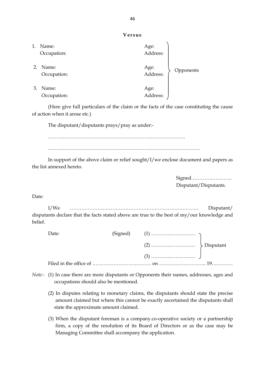**Versus**

| 1. | Name:<br>Occupation: | Age:<br>Address: |           |
|----|----------------------|------------------|-----------|
| 2. | Name:<br>Occupation: | Age:<br>Address: | Opponents |
| 3. | Name:<br>Occupation: | Age:<br>Address: |           |

(Here give full particulars of the claim or the facts of the case constituting the cause of action when it arose etc.)

The disputant/disputants prays/pray as under:-

…………………………………………………………………………

…………………………………………………………………………………

In support of the above claim or relief sought/I/we enclose document and papers as the list annexed hereto.

> Signed……………………. Disputant/Disputants.

Date:

I/We ……………………………………………………………………. Disputant/ disputants declare that the facts stated above are true to the best of my/our knowledge and belief.

| Date: |  |  |
|-------|--|--|
|       |  |  |
|       |  |  |
|       |  |  |

- *Note:-* (1) In case there are more disputants or Opponents their names, addresses, ages and occupations should also be mentioned.
	- (2) In disputes relating to monetary claims, the disputants should state the precise amount claimed but where this cannot be exactly ascertained the disputants shall state the approximate amount claimed.
	- (3) When the disputant foreman is a company.co-operative society or a partnership firm, a copy of the resolution of its Board of Directors or as the case may be Managing Committee shall accompany the application.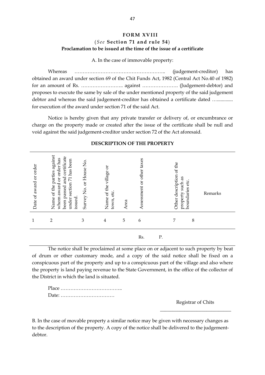## **FORM XVIII** (*See* **Section 71 and rule 54**) **Proclamation to be issued at the time of the issue of a certificate**

A. In the case of immovable property:

Whereas ……………………………………………….. (judgement-creditor) has obtained an award under section 69 of the Chit Funds Act, 1982 (Central Act No.40 of 1982) for an amount of Rs. …………………….. against …………………. (Judgement-debtor) and proposes to execute the same by sale of the under mentioned property of the said judgement debtor and whereas the said judgement-creditor has obtained a certificate dated ................ for execution of the award under section 71 of the said Act.

Notice is hereby given that any private transfer or delivery of, or encumbrance or charge on the property made or created after the issue of the certificate shall be null and void against the said judgement-creditor under section 72 of the Act aforesaid.

| Date of award or order | Name of the parties against<br>been passed and certificate<br>whom award or order has<br>under section 71 has been<br>issued. | Survey No. or House No. | ð<br>Name of the village<br>town, etc | Area | Assessment or other taxes |    | Other description of the<br>property such as | etc.<br>boundaries | Remarks |
|------------------------|-------------------------------------------------------------------------------------------------------------------------------|-------------------------|---------------------------------------|------|---------------------------|----|----------------------------------------------|--------------------|---------|
| 1                      | 2                                                                                                                             | 3                       | 4                                     | 5    | 6                         |    | 7                                            | $\,8\,$            |         |
|                        |                                                                                                                               |                         |                                       |      | Rs.                       | Ρ. |                                              |                    |         |

#### **DESCRIPTION OF THE PROPERTY**

The notice shall be proclaimed at some place on or adjacent to such property by beat of drum or other customary mode, and a copy of the said notice shall be fixed on a conspicuous part of the property and up to a conspicuous part of the village and also where the property is land paying revenue to the State Government, in the office of the collector of the District in which the land is situated.

Place ……………………………….. Date: ……………………………

Registrar of Chits

 $\frac{1}{\sqrt{2}}$  ,  $\frac{1}{\sqrt{2}}$  ,  $\frac{1}{\sqrt{2}}$  ,  $\frac{1}{\sqrt{2}}$  ,  $\frac{1}{\sqrt{2}}$  ,  $\frac{1}{\sqrt{2}}$  ,  $\frac{1}{\sqrt{2}}$  ,  $\frac{1}{\sqrt{2}}$  ,  $\frac{1}{\sqrt{2}}$  ,  $\frac{1}{\sqrt{2}}$  ,  $\frac{1}{\sqrt{2}}$  ,  $\frac{1}{\sqrt{2}}$  ,  $\frac{1}{\sqrt{2}}$  ,  $\frac{1}{\sqrt{2}}$  ,  $\frac{1}{\sqrt{2}}$ 

B. In the case of movable property a similar notice may be given with necessary changes as to the description of the property. A copy of the notice shall be delivered to the judgementdebtor.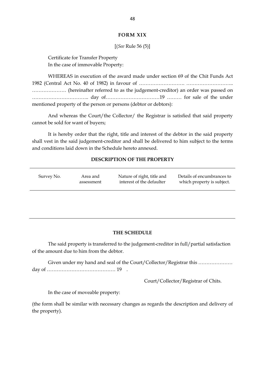#### **FORM XIX**

#### [(*See* Rule 56 (5)]

Certificate for Transfer Property In the case of immovable Property:

WHEREAS in execution of the award made under section 69 of the Chit Funds Act 1982 (Central Act No. 40 of 1982) in favour of ………………………. ……………………….. ………………… (hereinafter referred to as the judgement-creditor) an order was passed on …………………………….. day of……………………………19 ……… for sale of the under mentioned property of the person or persons (debtor or debtors):

And whereas the Court/the Collector/ the Registrar is satisfied that said property cannot be sold for want of buyers;

It is hereby order that the right, title and interest of the debtor in the said property shall vest in the said judgement-creditor and shall be delivered to him subject to the terms and conditions laid down in the Schedule hereto annexed.

#### **DESCRIPTION OF THE PROPERTY**

| Survey No. | Area and   | Nature of right, title and | Details of encumbrances to |
|------------|------------|----------------------------|----------------------------|
|            | assessment | interest of the defaulter  | which property is subject. |

#### **THE SCHEDULE**

The said property is transferred to the judgement-creditor in full/partial satisfaction of the amount due to him from the debtor.

Given under my hand and seal of the Court/Collector/Registrar this ………………… day of …………………………………… 19 .

Court/Collector/Registrar of Chits.

In the case of moveable property:

(the form shall be similar with necessary changes as regards the description and delivery of the property).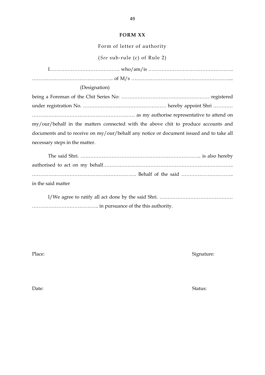#### **FORM XX**

Form of letter of authority

(*See* sub-rule (c) of Rule 2)

I……………………………………. who/am/is ……………………………………………. ………………………………………….. of M/s ……………………………………………………...

#### (Designation)

being a Foreman of the Chit Series No: ……………………………………………… registered under registration No. …………………………………………… hereby appoint Shri ………… ……………………………………………………… as my authorise representative to attend on my/our/behalf in the matters connected with the above chit to produce accounts and documents and to receive on my/our/behalf any notice or document issued and to take all necessary steps in the matter.

| in the said matter |  |
|--------------------|--|

I/We agree to ratify all act done by the said Shri. ……………………………………… ………………………………….. in pursuance of the this authority.

Place: Signature: Signature: Signature: Signature: Signature: Signature: Signature: Signature: Signature: Signature: Signature: Signature: Signature: Signature: Signature: Signature: Signature: Signature: Signature: Signat

Date: Status: Status: Status: Status: Status: Status: Status: Status: Status: Status: Status: Status: Status: Status: Status: Status: Status: Status: Status: Status: Status: Status: Status: Status: Status: Status: Status: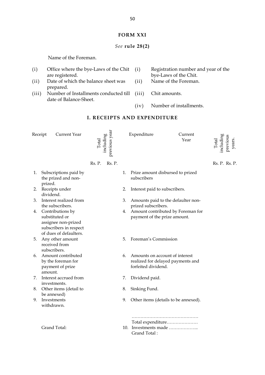#### **FORM XXI**

## *See* **rule 28(2)**

Name of the Foreman.

- (i) Office where the bye-Laws of the Chit are registered.
- (ii) Date of which the balance sheet was prepared.
- (iii) Number of Installments conducted till date of Balance-Sheet.
- Registration number and year of the bye-Laws of the Chit.
- (ii) Name of the Foreman.
- (iii) Chit amounts.
- (iv) Number of installments.

#### **I. RECEIPTS AND EXPENDITURE**

|    | Current Year<br>Receipt                                                                                          | including<br>Total | previous year |    | Expenditure                                                                                | Current<br>Year | including<br>previous<br>Total | years. |
|----|------------------------------------------------------------------------------------------------------------------|--------------------|---------------|----|--------------------------------------------------------------------------------------------|-----------------|--------------------------------|--------|
|    |                                                                                                                  | Rs. P.             | Rs. P.        |    |                                                                                            |                 | Rs. P. Rs. P.                  |        |
| 1. | Subscriptions paid by<br>the prized and non-<br>prized.                                                          |                    |               | 1. | Prize amount disbursed to prized<br>subscribers                                            |                 |                                |        |
| 2. | Receipts under<br>dividend.                                                                                      |                    |               | 2. | Interest paid to subscribers.                                                              |                 |                                |        |
| 3. | Interest realized from<br>the subscribers.                                                                       |                    |               | 3. | Amounts paid to the defaulter non-<br>prized subscribers.                                  |                 |                                |        |
|    | 4. Contributions by<br>substituted or<br>assignee non-prized<br>subscribers in respect<br>of dues of defaulters. |                    |               | 4. | Amount contributed by Foreman for<br>payment of the prize amount.                          |                 |                                |        |
| 5. | Any other amount<br>received from<br>subscribers.                                                                |                    |               | 5. | Foreman's Commission                                                                       |                 |                                |        |
| 6. | Amount contributed<br>by the foreman for<br>payment of prize<br>amount.                                          |                    |               | 6. | Amounts on account of interest<br>realized for delayed payments and<br>forfeited dividend. |                 |                                |        |
| 7. | Interest accrued from<br>investments.                                                                            |                    |               | 7. | Dividend paid.                                                                             |                 |                                |        |
| 8. | Other items (detail to<br>be annexed)                                                                            |                    |               | 8. | Sinking Fund.                                                                              |                 |                                |        |
| 9. | Investments<br>withdrawn.                                                                                        |                    |               | 9. | Other items (details to be annexed).                                                       |                 |                                |        |
|    | Grand Total:                                                                                                     |                    |               |    | Total expenditure<br>10. Investments made<br>Grand Total:                                  |                 |                                |        |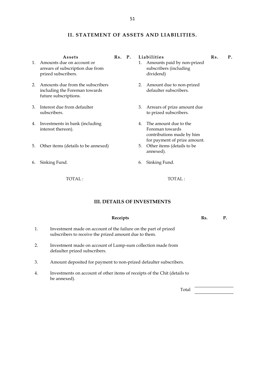## **II. STATEMENT OF ASSETS AND LIABILITIES.**

|    | Assets                                                                                     | $Rs.$ P. |    | Liabilities                                                                                           | Rs. | Р. |
|----|--------------------------------------------------------------------------------------------|----------|----|-------------------------------------------------------------------------------------------------------|-----|----|
| 1. | Amounts due on account or<br>arrears of subscription due from<br>prized subscribers.       |          | 1. | Amounts paid by non-prized<br>subscribers (including<br>dividend)                                     |     |    |
| 2. | Amounts due from the subscribers<br>including the Foreman towards<br>future subscriptions. |          | 2. | Amount due to non-prized<br>defaulter subscribers.                                                    |     |    |
| 3. | Interest due from defaulter<br>subscribers.                                                |          | 3. | Arrears of prize amount due<br>to prized subscribers.                                                 |     |    |
| 4. | Investments in bank (including<br>interest thereon).                                       |          | 4. | The amount due to the<br>Foreman towards<br>contributions made by him<br>for payment of prize amount. |     |    |
| 5. | Other items (details to be annexed)                                                        |          | 5. | Other items (details to be<br>annexed).                                                               |     |    |
|    | 6. Sinking Fund.                                                                           |          | 6. | Sinking Fund.                                                                                         |     |    |

TOTAL :

TOTAL :

#### **III. DETAILS OF INVESTMENTS**

|                  | Receipts                                                                                                                 | Rs. |  |
|------------------|--------------------------------------------------------------------------------------------------------------------------|-----|--|
| 1.               | Investment made on account of the failure on the part of prized<br>subscribers to receive the prized amount due to them. |     |  |
| 2.               | Investment made on account of Lump-sum collection made from<br>defaulter prized subscribers.                             |     |  |
| 3.               | Amount deposited for payment to non-prized defaulter subscribers.                                                        |     |  |
| $\overline{4}$ . | Investments on account of other items of receipts of the Chit (details to<br>be annexed).                                |     |  |
|                  | Total                                                                                                                    |     |  |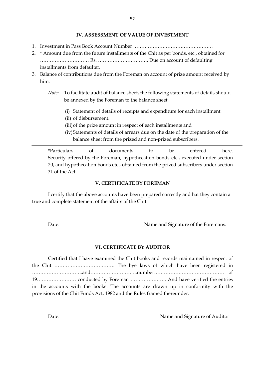#### **IV. ASSESSMENT OF VALUE OF INVESTMENT**

- 1. Investment in Pass Book Account Number ………………………………………….
- 2. \* Amount due from the future installments of the Chit as per bonds, etc., obtained for ………………………… Rs. …………………………. Due on account of defaulting installments from defaulter.
- 3. Balance of contributions due from the Foreman on account of prize amount received by him.
	- *Note:-* To facilitate audit of balance sheet, the following statements of details should be annexed by the Foreman to the balance sheet.
		- (i) Statement of details of receipts and expenditure for each installment.
		- (ii) of disbursement.
		- (iii)of the prize amount in respect of each installments and
		- (iv)Statements of details of arrears due on the date of the preparation of the balance sheet from the prized and non-prized subscribers.

\*Particulars of documents to be entered here. Security offered by the Foreman, hypothecation bonds etc., executed under section 20, and hypothecation bonds etc., obtained from the prized subscribers under section 31 of the Act.

#### **V. CERTIFICATE BY FOREMAN**

I certify that the above accounts have been prepared correctly and hat they contain a true and complete statement of the affairs of the Chit.

Date: Name and Signature of the Foremans.

#### **VI. CERTIFICATE BY AUDITOR**

Certified that I have examined the Chit books and records maintained in respect of the Chit ………………………………. The bye laws of which have been registered in ………………………….and………………………..number……………………………………. of 19…………………… conducted by Foreman …………………. And have verified the entries in the accounts with the books. The accounts are drawn up in conformity with the provisions of the Chit Funds Act, 1982 and the Rules framed thereunder.

Date: Name and Signature of Auditor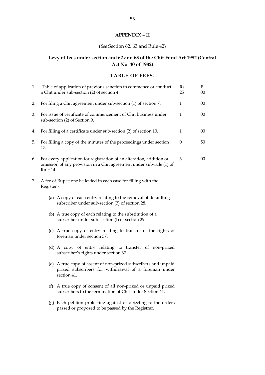## **APPENDIX – II**

## (*See* Section 62, 63 and Rule 42)

## **Levy of fees under section and 62 and 63 of the Chit Fund Act 1982 (Central Act No. 40 of 1982)**

#### **TABLE OF FEES.**

| 1. | Table of application of previous sanction to commence or conduct<br>a Chit under sub-section (2) of section 4.                                          | Rs.<br>25 | P.<br>00 |
|----|---------------------------------------------------------------------------------------------------------------------------------------------------------|-----------|----------|
| 2. | For filing a Chit agreement under sub-section (1) of section 7.                                                                                         | 1         | 00       |
| 3. | For issue of certificate of commencement of Chit business under<br>sub-section (2) of Section 9.                                                        | 1         | 00       |
| 4. | For filling of a certificate under sub-section (2) of section 10.                                                                                       | 1         | 00       |
| 5. | For filling a copy of the minutes of the proceedings under section<br>17.                                                                               | 0         | 50       |
| 6. | For every application for registration of an alteration, addition or<br>omission of any provision in a Chit agreement under sub-rule (1) of<br>Rule 14. | 3         | $00\,$   |
| 7. | A fee of Rupee one be levied in each case for filling with the<br>Register -                                                                            |           |          |
|    | (a) A copy of each entry relating to the removal of defaulting<br>subscriber under sub-section (3) of section 28.                                       |           |          |
|    | (b) A true copy of each relating to the substitution of a<br>subscriber under sub-section (I) of section 29.                                            |           |          |
|    | (c) A true copy of entry relating to transfer of the rights of<br>foreman under section 37.                                                             |           |          |
|    | (d) A copy of entry relating to transfer of non-prized<br>subscriber's rights under section 37.                                                         |           |          |
|    | (e) A true copy of assent of non-prized subscribers and unpaid<br>prized subscribers for withdrawal of a foreman under<br>section 41.                   |           |          |
|    | A true copy of consent of all non-prized or unpaid prized<br>(f)<br>subscribers to the termination of Chit under Section 41.                            |           |          |
|    | (g) Each petition protesting against or objecting to the orders<br>passed or proposed to be passed by the Registrar.                                    |           |          |
|    |                                                                                                                                                         |           |          |